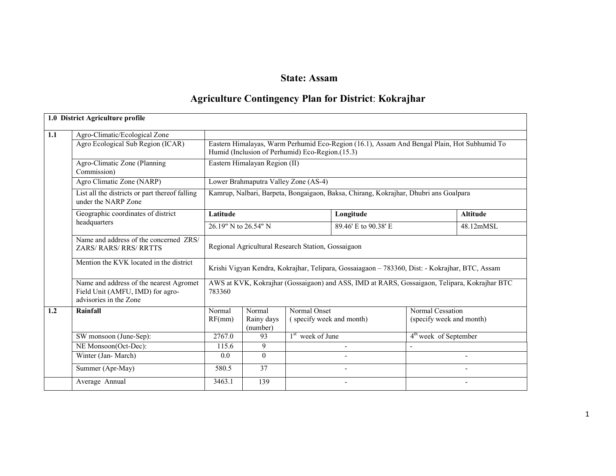### State: Assam

### Agriculture Contingency Plan for District: Kokrajhar

|     | 1.0 District Agriculture profile                                                                      |                                                    |                                  |                                                 |                                                                                                |                                              |                          |  |  |  |
|-----|-------------------------------------------------------------------------------------------------------|----------------------------------------------------|----------------------------------|-------------------------------------------------|------------------------------------------------------------------------------------------------|----------------------------------------------|--------------------------|--|--|--|
| 1.1 | Agro-Climatic/Ecological Zone<br>Agro Ecological Sub Region (ICAR)                                    |                                                    |                                  | Humid (Inclusion of Perhumid) Eco-Region.(15.3) | Eastern Himalayas, Warm Perhumid Eco-Region (16.1), Assam And Bengal Plain, Hot Subhumid To    |                                              |                          |  |  |  |
|     | Agro-Climatic Zone (Planning<br>Commission)                                                           |                                                    | Eastern Himalayan Region (II)    |                                                 |                                                                                                |                                              |                          |  |  |  |
|     | Agro Climatic Zone (NARP)                                                                             |                                                    |                                  | Lower Brahmaputra Valley Zone (AS-4)            |                                                                                                |                                              |                          |  |  |  |
|     | List all the districts or part thereof falling<br>under the NARP Zone                                 |                                                    |                                  |                                                 | Kamrup, Nalbari, Barpeta, Bongaigaon, Baksa, Chirang, Kokrajhar, Dhubri ans Goalpara           |                                              |                          |  |  |  |
|     | Geographic coordinates of district                                                                    | Latitude                                           |                                  |                                                 | Longitude                                                                                      |                                              | <b>Altitude</b>          |  |  |  |
|     | headquarters                                                                                          | 26.19" N to 26.54" N                               |                                  |                                                 | 48.12mMSL                                                                                      |                                              |                          |  |  |  |
|     | Name and address of the concerned ZRS/<br><b>ZARS/RARS/RRS/RRTTS</b>                                  | Regional Agricultural Research Station, Gossaigaon |                                  |                                                 |                                                                                                |                                              |                          |  |  |  |
|     | Mention the KVK located in the district                                                               |                                                    |                                  |                                                 | Krishi Vigyan Kendra, Kokrajhar, Telipara, Gossaiagaon - 783360, Dist: - Kokrajhar, BTC, Assam |                                              |                          |  |  |  |
|     | Name and address of the nearest Agromet<br>Field Unit (AMFU, IMD) for agro-<br>advisories in the Zone | 783360                                             |                                  |                                                 | AWS at KVK, Kokrajhar (Gossaigaon) and ASS, IMD at RARS, Gossaigaon, Telipara, Kokrajhar BTC   |                                              |                          |  |  |  |
| 1.2 | Rainfall                                                                                              | Normal<br>RF(mm)                                   | Normal<br>Rainy days<br>(number) | Normal Onset<br>(specify week and month)        |                                                                                                | Normal Cessation<br>(specify week and month) |                          |  |  |  |
|     | SW monsoon (June-Sep):                                                                                | 2767.0                                             | 93                               | 1 <sup>st</sup> week of June                    |                                                                                                | 4 <sup>th</sup> week of September            |                          |  |  |  |
|     | NE Monsoon(Oct-Dec):                                                                                  | 115.6                                              | 9                                |                                                 |                                                                                                |                                              |                          |  |  |  |
|     | Winter (Jan-March)                                                                                    | 0.0                                                | $\overline{0}$                   |                                                 | $\overline{\phantom{a}}$                                                                       |                                              | $\overline{\phantom{a}}$ |  |  |  |
|     | Summer (Apr-May)                                                                                      | 580.5                                              | 37                               |                                                 |                                                                                                |                                              |                          |  |  |  |
|     | Average Annual                                                                                        | 3463.1                                             | 139                              |                                                 |                                                                                                |                                              |                          |  |  |  |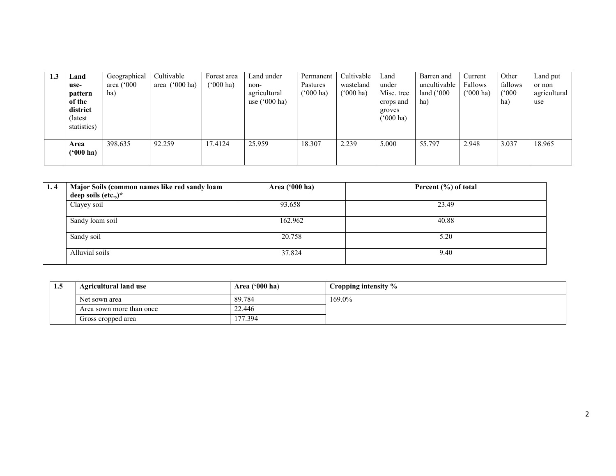| 1.3 | Land<br>use-<br>pattern<br>of the<br>district<br>(latest) | Geographical<br>area $(^{\circ}000$<br>ha) | Cultivable<br>area $('000 ha)$ | Forest area<br>$(5000)$ ha) | Land under<br>non-<br>agricultural<br>use $(^{\circ}000$ ha) | Permanent<br>Pastures<br>('000 ha) | Cultivable<br>wasteland<br>$(000 \text{ ha})$ | Land<br>under<br>Misc. tree<br>crops and<br>groves<br>$(^{o}000 \text{ ha})$ | Barren and<br>uncultivable<br>land $(^{\circ}000$<br>ha) | Current<br>Fallows<br>$(^{6}000 \text{ ha})$ | Other<br>fallows<br>(°000)<br>ha) | Land put<br>or non<br>agricultural<br>use |
|-----|-----------------------------------------------------------|--------------------------------------------|--------------------------------|-----------------------------|--------------------------------------------------------------|------------------------------------|-----------------------------------------------|------------------------------------------------------------------------------|----------------------------------------------------------|----------------------------------------------|-----------------------------------|-------------------------------------------|
|     | statistics)<br>Area<br>$(900)$ ha)                        | 398.635                                    | 92.259                         | 17.4124                     | 25.959                                                       | 18.307                             | 2.239                                         | 5.000                                                                        | 55.797                                                   | 2.948                                        | 3.037                             | 18.965                                    |

| 1.4 | Major Soils (common names like red sandy loam<br>deep soils (etc.,) $*$ | Area ('000 ha) | Percent (%) of total |
|-----|-------------------------------------------------------------------------|----------------|----------------------|
|     |                                                                         |                |                      |
|     | Clayey soil                                                             | 93.658         | 23.49                |
|     | Sandy loam soil                                                         | 162.962        | 40.88                |
|     | Sandy soil                                                              | 20.758         | 5.20                 |
|     | Alluvial soils                                                          | 37.824         | 9.40                 |

| 1.5 | <b>Agricultural land use</b> | Area $('000 ha)$ | Cropping intensity % |
|-----|------------------------------|------------------|----------------------|
|     | Net sown area                | 89.784           | 169.0%               |
|     | Area sown more than once     | 22.446           |                      |
|     | Gross cropped area           | 77.394           |                      |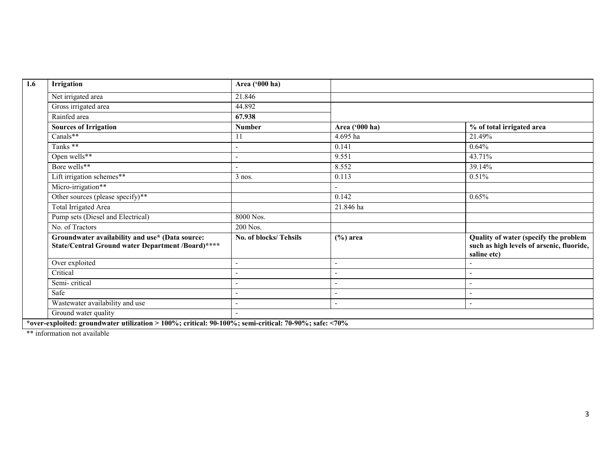| 1.6 | Irrigation                                                                                            | Area ('000 ha)        |                          |                                                                                                   |  |  |  |  |  |
|-----|-------------------------------------------------------------------------------------------------------|-----------------------|--------------------------|---------------------------------------------------------------------------------------------------|--|--|--|--|--|
|     | Net irrigated area                                                                                    | 21.846                |                          |                                                                                                   |  |  |  |  |  |
|     | Gross irrigated area                                                                                  | 44.892                |                          |                                                                                                   |  |  |  |  |  |
|     | Rainfed area                                                                                          | 67.938                |                          |                                                                                                   |  |  |  |  |  |
|     | <b>Sources of Irrigation</b>                                                                          | Number                | Area ('000 ha)           | % of total irrigated area                                                                         |  |  |  |  |  |
|     | Canals**                                                                                              | 11                    | 4.695 ha                 | 21.49%                                                                                            |  |  |  |  |  |
|     | Tanks **                                                                                              |                       | 0.141                    | 0.64%                                                                                             |  |  |  |  |  |
|     | Open wells**                                                                                          |                       | 9.551                    | 43.71%                                                                                            |  |  |  |  |  |
|     | Bore wells**                                                                                          |                       | 8.552                    | 39.14%                                                                                            |  |  |  |  |  |
|     | Lift irrigation schemes**                                                                             | $3$ nos.              | 0.113                    | 0.51%                                                                                             |  |  |  |  |  |
|     | Micro-irrigation**                                                                                    |                       |                          |                                                                                                   |  |  |  |  |  |
|     | Other sources (please specify)**                                                                      |                       | 0.142                    | 0.65%                                                                                             |  |  |  |  |  |
|     | <b>Total Irrigated Area</b>                                                                           |                       | 21.846 ha                |                                                                                                   |  |  |  |  |  |
|     | Pump sets (Diesel and Electrical)                                                                     | 8000 Nos.             |                          |                                                                                                   |  |  |  |  |  |
|     | No. of Tractors                                                                                       | 200 Nos.              |                          |                                                                                                   |  |  |  |  |  |
|     | Groundwater availability and use* (Data source:<br>State/Central Ground water Department /Board)****  | No. of blocks/Tehsils | $(\%)$ area              | Quality of water (specify the problem<br>such as high levels of arsenic, fluoride,<br>saline etc) |  |  |  |  |  |
|     | Over exploited                                                                                        |                       | $\overline{\phantom{a}}$ |                                                                                                   |  |  |  |  |  |
|     | Critical                                                                                              |                       |                          |                                                                                                   |  |  |  |  |  |
|     | Semi-critical                                                                                         |                       |                          |                                                                                                   |  |  |  |  |  |
|     | Safe                                                                                                  |                       |                          |                                                                                                   |  |  |  |  |  |
|     | Wastewater availability and use                                                                       |                       | $\blacksquare$           | $\blacksquare$                                                                                    |  |  |  |  |  |
|     | Ground water quality                                                                                  |                       |                          |                                                                                                   |  |  |  |  |  |
|     | *over-exploited: groundwater utilization > 100%; critical: 90-100%; semi-critical: 70-90%; safe: <70% |                       |                          |                                                                                                   |  |  |  |  |  |

\*\* information not available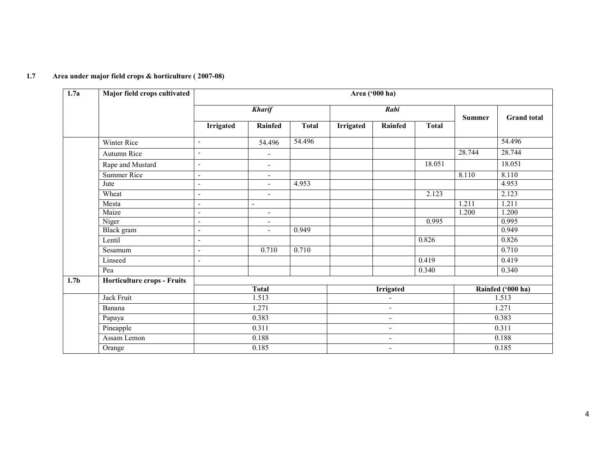| 1.7a             | Major field crops cultivated       |                          |                          |              |           | Area ('000 ha)           |              |               |                    |
|------------------|------------------------------------|--------------------------|--------------------------|--------------|-----------|--------------------------|--------------|---------------|--------------------|
|                  |                                    |                          | <b>Kharif</b>            |              |           | Rabi                     |              | <b>Summer</b> | <b>Grand</b> total |
|                  |                                    | <b>Irrigated</b>         | Rainfed                  | <b>Total</b> | Irrigated | Rainfed                  | <b>Total</b> |               |                    |
|                  | Winter Rice                        | $\overline{\phantom{a}}$ | 54.496                   | 54.496       |           |                          |              |               | 54.496             |
|                  | Autumn Rice                        | $\overline{a}$           |                          |              |           |                          |              | 28.744        | 28.744             |
|                  | Rape and Mustard                   | ٠                        | $\overline{\phantom{a}}$ |              |           |                          | 18.051       |               | 18.051             |
|                  | Summer Rice                        | $\overline{\phantom{0}}$ | $\overline{\phantom{a}}$ |              |           |                          |              | 8.110         | 8.110              |
|                  | Jute                               | $\blacksquare$           | $\sim$                   | 4.953        |           |                          |              |               | 4.953              |
|                  | Wheat                              | L,                       | $\blacksquare$           |              |           |                          | 2.123        |               | 2.123              |
|                  | Mesta                              | L,                       | $\blacksquare$           |              |           |                          |              | 1.211         | 1.211              |
|                  | Maize                              | $\overline{a}$           | $\blacksquare$           |              |           |                          |              | 1.200         | 1.200              |
|                  | Niger                              | $\blacksquare$           | $\overline{\phantom{a}}$ |              |           |                          | 0.995        |               | 0.995              |
|                  | Black gram                         | $\overline{a}$           | $\blacksquare$           | 0.949        |           |                          |              |               | 0.949              |
|                  | Lentil                             | $\overline{a}$           |                          |              |           |                          | 0.826        |               | 0.826              |
|                  | Sesamum                            | L,                       | 0.710                    | 0.710        |           |                          |              |               | 0.710              |
|                  | Linseed                            | $\overline{a}$           |                          |              |           |                          | 0.419        |               | 0.419              |
|                  | Pea                                |                          |                          |              |           |                          | 0.340        |               | 0.340              |
| 1.7 <sub>b</sub> | <b>Horticulture crops - Fruits</b> |                          |                          |              |           |                          |              |               |                    |
|                  |                                    |                          | <b>Total</b>             |              |           | Irrigated                |              |               | Rainfed ('000 ha)  |
|                  | Jack Fruit                         |                          | 1.513                    |              |           | $\overline{\phantom{a}}$ |              |               | 1.513              |
|                  | Banana                             |                          | 1.271                    |              |           | $\overline{\phantom{a}}$ |              |               | 1.271              |
|                  | Papaya                             |                          | 0.383                    |              |           | $\overline{\phantom{a}}$ |              |               | 0.383              |
|                  | Pineapple                          |                          | 0.311                    |              |           | ٠                        |              |               | 0.311              |
|                  | Assam Lemon                        |                          | 0.188                    |              |           | $\overline{\phantom{a}}$ |              |               | 0.188              |
|                  | Orange                             |                          | 0.185                    |              |           | $\overline{\phantom{a}}$ |              |               | 0.185              |

#### 1.7 Area under major field crops & horticulture ( 2007-08)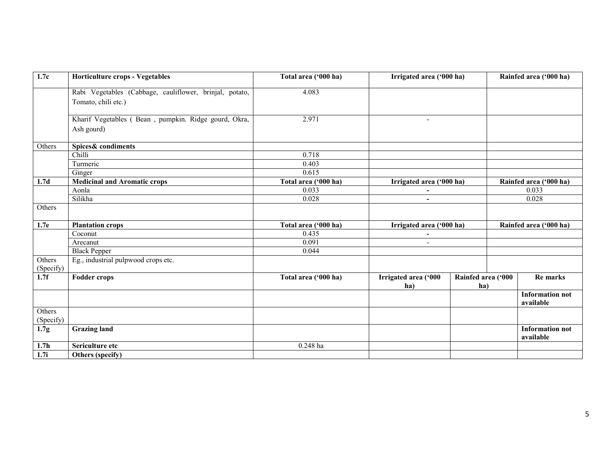| 1.7c              | Horticulture crops - Vegetables                         | Total area ('000 ha) | Irrigated area ('000 ha) |                    | Rainfed area ('000 ha)              |
|-------------------|---------------------------------------------------------|----------------------|--------------------------|--------------------|-------------------------------------|
|                   | Rabi Vegetables (Cabbage, cauliflower, brinjal, potato, | 4.083                |                          |                    |                                     |
|                   | Tomato, chili etc.)                                     |                      |                          |                    |                                     |
|                   | Kharif Vegetables (Bean, pumpkin. Ridge gourd, Okra,    | 2.971                | $\overline{\phantom{a}}$ |                    |                                     |
|                   | Ash gourd)                                              |                      |                          |                    |                                     |
| Others            | Spices& condiments                                      |                      |                          |                    |                                     |
|                   | Chilli                                                  | 0.718                |                          |                    |                                     |
|                   | Turmeric                                                | 0.403                |                          |                    |                                     |
|                   | Ginger                                                  | 0.615                |                          |                    |                                     |
| 1.7 <sub>d</sub>  | <b>Medicinal and Aromatic crops</b>                     | Total area ('000 ha) | Irrigated area ('000 ha) |                    | Rainfed area ('000 ha)              |
|                   | Aonla                                                   | 0.033                |                          |                    | 0.033                               |
|                   | Silikha                                                 | 0.028                | $\blacksquare$           |                    | 0.028                               |
| Others            |                                                         |                      |                          |                    |                                     |
| 1.7e              | <b>Plantation crops</b>                                 | Total area ('000 ha) | Irrigated area ('000 ha) |                    | Rainfed area ('000 ha)              |
|                   | Coconut                                                 | 0.435                | $\overline{\phantom{a}}$ |                    |                                     |
|                   | Arecanut                                                | 0.091                |                          |                    |                                     |
|                   | <b>Black Pepper</b>                                     | 0.044                |                          |                    |                                     |
| Others            | Eg., industrial pulpwood crops etc.                     |                      |                          |                    |                                     |
| (Specify)         |                                                         |                      |                          |                    |                                     |
| 1.7f              | <b>Fodder crops</b>                                     | Total area ('000 ha) | Irrigated area ('000     | Rainfed area ('000 | Re marks                            |
|                   |                                                         |                      | ha)                      | ha)                |                                     |
|                   |                                                         |                      |                          |                    | <b>Information not</b><br>available |
| Others            |                                                         |                      |                          |                    |                                     |
| (Specify)         |                                                         |                      |                          |                    |                                     |
| 1.7 <sub>g</sub>  | <b>Grazing land</b>                                     |                      |                          |                    | <b>Information not</b><br>available |
| 1.7 <sub>h</sub>  | Sericulture etc                                         | $0.248$ ha           |                          |                    |                                     |
| $\overline{1.7i}$ | Others (specify)                                        |                      |                          |                    |                                     |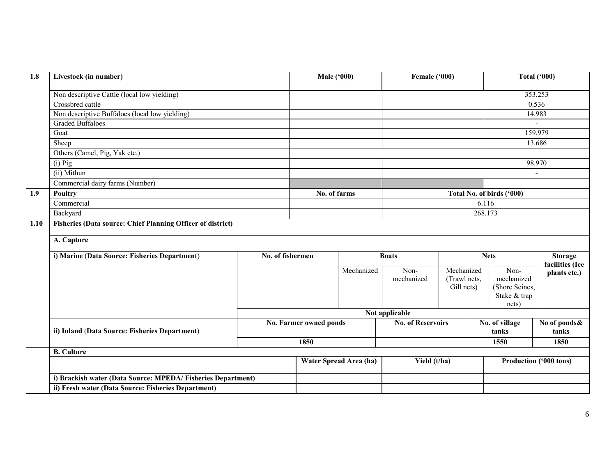| 1.8  | Livestock (in number)                                       |                  | <b>Male ('000)</b>     |                        | Female ('000)            |                            |                           | <b>Total ('000)</b>    |
|------|-------------------------------------------------------------|------------------|------------------------|------------------------|--------------------------|----------------------------|---------------------------|------------------------|
|      | Non descriptive Cattle (local low yielding)                 |                  |                        |                        |                          |                            |                           | 353.253                |
|      | Crossbred cattle                                            |                  |                        |                        |                          |                            |                           | 0.536                  |
|      | Non descriptive Buffaloes (local low yielding)              |                  |                        |                        |                          |                            |                           | 14.983                 |
|      | <b>Graded Buffaloes</b>                                     |                  |                        |                        |                          |                            |                           |                        |
|      | Goat                                                        |                  |                        |                        |                          |                            |                           | 159.979                |
|      | Sheep                                                       |                  |                        |                        |                          |                            |                           | 13.686                 |
|      | Others (Camel, Pig, Yak etc.)                               |                  |                        |                        |                          |                            |                           |                        |
|      | $(i)$ Pig                                                   |                  |                        |                        |                          |                            |                           | 98.970                 |
|      | (ii) Mithun                                                 |                  |                        |                        |                          |                            |                           | $\blacksquare$         |
|      | Commercial dairy farms (Number)                             |                  |                        |                        |                          |                            |                           |                        |
| 1.9  | Poultry                                                     |                  | No. of farms           |                        |                          |                            | Total No. of birds ('000) |                        |
|      | Commercial                                                  |                  |                        |                        |                          |                            | 6.116                     |                        |
|      | Backyard                                                    |                  |                        |                        |                          |                            | 268.173                   |                        |
| 1.10 | Fisheries (Data source: Chief Planning Officer of district) |                  |                        |                        |                          |                            |                           |                        |
|      |                                                             |                  |                        |                        |                          |                            |                           |                        |
|      | A. Capture                                                  |                  |                        |                        |                          |                            |                           |                        |
|      | i) Marine (Data Source: Fisheries Department)               | No. of fishermen |                        |                        | <b>Boats</b>             |                            | <b>Nets</b>               | <b>Storage</b>         |
|      |                                                             |                  |                        |                        |                          |                            |                           | facilities (Ice        |
|      |                                                             |                  |                        | Mechanized             | Non-                     | Mechanized                 | Non-<br>mechanized        | plants etc.)           |
|      |                                                             |                  |                        |                        | mechanized               | (Trawl nets,<br>Gill nets) | (Shore Seines,            |                        |
|      |                                                             |                  |                        |                        |                          |                            | Stake & trap              |                        |
|      |                                                             |                  |                        |                        |                          |                            | nets)                     |                        |
|      |                                                             |                  |                        |                        | Not applicable           |                            |                           |                        |
|      |                                                             |                  | No. Farmer owned ponds |                        | <b>No. of Reservoirs</b> |                            | No. of village            | No of ponds&           |
|      | ii) Inland (Data Source: Fisheries Department)              |                  |                        |                        |                          |                            | tanks                     | tanks                  |
|      |                                                             |                  | 1850                   |                        |                          |                            | 1550                      | 1850                   |
|      | <b>B.</b> Culture                                           |                  |                        |                        |                          |                            |                           |                        |
|      |                                                             |                  |                        | Water Spread Area (ha) | Yield (t/ha)             |                            |                           | Production ('000 tons) |
|      | i) Brackish water (Data Source: MPEDA/Fisheries Department) |                  |                        |                        |                          |                            |                           |                        |
|      | ii) Fresh water (Data Source: Fisheries Department)         |                  |                        |                        |                          |                            |                           |                        |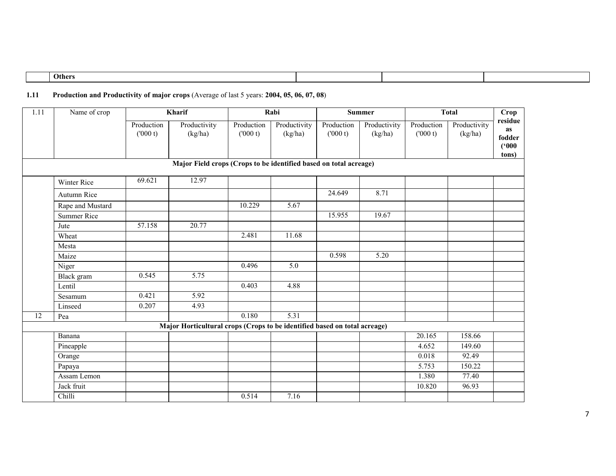| $\sim$<br>- 47<br><b>Others</b> |  |  |
|---------------------------------|--|--|
|                                 |  |  |

### 1.11 Production and Productivity of major crops (Average of last 5 years: 2004, 05, 06, 07, 08)

| $\overline{1.11}$ | Name of crop       |                       | Kharif                                                                    |                       | Rabi                    |                       | <b>Summer</b>           | <b>Total</b>          |                         | Crop                                             |
|-------------------|--------------------|-----------------------|---------------------------------------------------------------------------|-----------------------|-------------------------|-----------------------|-------------------------|-----------------------|-------------------------|--------------------------------------------------|
|                   |                    | Production<br>(000 t) | Productivity<br>(kg/ha)                                                   | Production<br>(000 t) | Productivity<br>(kg/ha) | Production<br>(000 t) | Productivity<br>(kg/ha) | Production<br>(000 t) | Productivity<br>(kg/ha) | residue<br><b>as</b><br>fodder<br>(500)<br>tons) |
|                   |                    |                       | Major Field crops (Crops to be identified based on total acreage)         |                       |                         |                       |                         |                       |                         |                                                  |
|                   | Winter Rice        | 69.621                | 12.97                                                                     |                       |                         |                       |                         |                       |                         |                                                  |
|                   | Autumn Rice        |                       |                                                                           |                       |                         | 24.649                | 8.71                    |                       |                         |                                                  |
|                   | Rape and Mustard   |                       |                                                                           | 10.229                | 5.67                    |                       |                         |                       |                         |                                                  |
|                   | <b>Summer Rice</b> |                       |                                                                           |                       |                         | 15.955                | 19.67                   |                       |                         |                                                  |
|                   | Jute               | 57.158                | 20.77                                                                     |                       |                         |                       |                         |                       |                         |                                                  |
|                   | Wheat              |                       |                                                                           | 2.481                 | 11.68                   |                       |                         |                       |                         |                                                  |
|                   | Mesta              |                       |                                                                           |                       |                         |                       |                         |                       |                         |                                                  |
|                   | Maize              |                       |                                                                           |                       |                         | 0.598                 | 5.20                    |                       |                         |                                                  |
|                   | Niger              |                       |                                                                           | 0.496                 | 5.0                     |                       |                         |                       |                         |                                                  |
|                   | Black gram         | 0.545                 | 5.75                                                                      |                       |                         |                       |                         |                       |                         |                                                  |
|                   | Lentil             |                       |                                                                           | 0.403                 | 4.88                    |                       |                         |                       |                         |                                                  |
|                   | Sesamum            | 0.421                 | 5.92                                                                      |                       |                         |                       |                         |                       |                         |                                                  |
|                   | Linseed            | 0.207                 | 4.93                                                                      |                       |                         |                       |                         |                       |                         |                                                  |
| 12                | Pea                |                       |                                                                           | 0.180                 | 5.31                    |                       |                         |                       |                         |                                                  |
|                   |                    |                       | Major Horticultural crops (Crops to be identified based on total acreage) |                       |                         |                       |                         |                       |                         |                                                  |
|                   | Banana             |                       |                                                                           |                       |                         |                       |                         | 20.165                | 158.66                  |                                                  |
|                   | Pineapple          |                       |                                                                           |                       |                         |                       |                         | 4.652                 | 149.60                  |                                                  |
|                   | Orange             |                       |                                                                           |                       |                         |                       |                         | 0.018                 | 92.49                   |                                                  |
|                   | Papaya             |                       |                                                                           |                       |                         |                       |                         | 5.753                 | 150.22                  |                                                  |
|                   | Assam Lemon        |                       |                                                                           |                       |                         |                       |                         | 1.380                 | 77.40                   |                                                  |
|                   | Jack fruit         |                       |                                                                           |                       |                         |                       |                         | 10.820                | 96.93                   |                                                  |
|                   | Chilli             |                       |                                                                           | 0.514                 | 7.16                    |                       |                         |                       |                         |                                                  |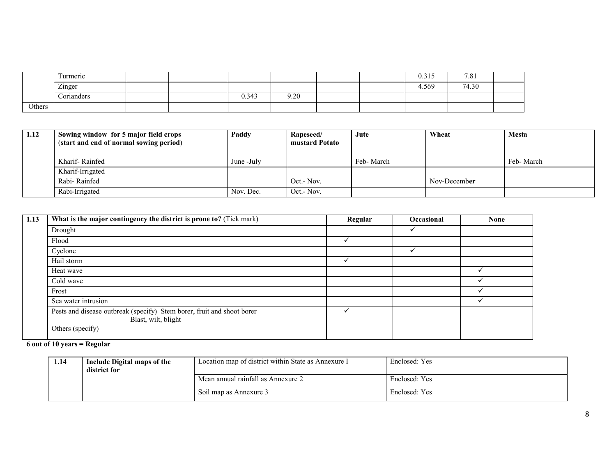|        | $\overline{ }$<br>Turmeric |  |       |      |  | 0.315 | 7.81  |  |
|--------|----------------------------|--|-------|------|--|-------|-------|--|
|        | Zinger                     |  |       |      |  | 4.569 | 74.30 |  |
|        | Corianders                 |  | 0.343 | 9.20 |  |       |       |  |
| Others |                            |  |       |      |  |       |       |  |

| 1.12 | Sowing window for 5 major field crops<br>(start and end of normal sowing period) | Paddy      | Rapeseed/<br>mustard Potato | Jute      | Wheat        | <b>Mesta</b> |
|------|----------------------------------------------------------------------------------|------------|-----------------------------|-----------|--------------|--------------|
|      | Kharif-Rainfed                                                                   | June -July |                             | Feb-March |              | Feb-March    |
|      | Kharif-Irrigated                                                                 |            |                             |           |              |              |
|      | Rabi-Rainfed                                                                     |            | Oct. - Nov.                 |           | Nov-December |              |
|      | Rabi-Irrigated                                                                   | Nov. Dec.  | Oct.- Nov.                  |           |              |              |

| 1.13 | What is the major contingency the district is prone to? (Tick mark)                           | Regular | <b>Occasional</b> | <b>None</b> |
|------|-----------------------------------------------------------------------------------------------|---------|-------------------|-------------|
|      | Drought                                                                                       |         |                   |             |
|      | Flood                                                                                         |         |                   |             |
|      | Cyclone                                                                                       |         |                   |             |
|      | Hail storm                                                                                    |         |                   |             |
|      | Heat wave                                                                                     |         |                   |             |
|      | Cold wave                                                                                     |         |                   |             |
|      | Frost                                                                                         |         |                   |             |
|      | Sea water intrusion                                                                           |         |                   |             |
|      | Pests and disease outbreak (specify) Stem borer, fruit and shoot borer<br>Blast, wilt, blight |         |                   |             |
|      | Others (specify)                                                                              |         |                   |             |

#### 6 out of 10 years = Regular

| 1.14 | Include Digital maps of the<br>district for | Location map of district within State as Annexure I | Enclosed: Yes |
|------|---------------------------------------------|-----------------------------------------------------|---------------|
|      |                                             | Mean annual rainfall as Annexure 2                  | Enclosed: Yes |
|      |                                             | Soil map as Annexure 3                              | Enclosed: Yes |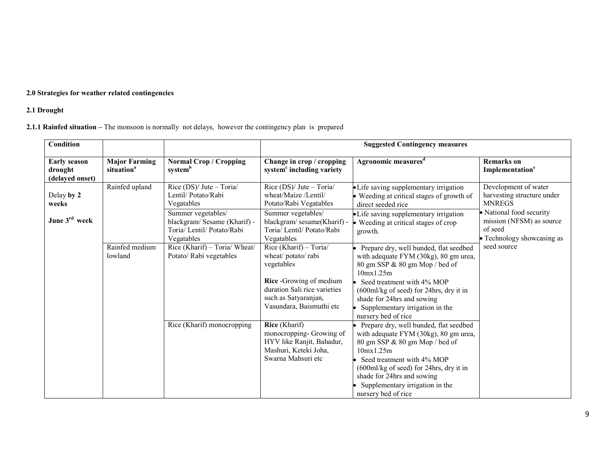#### 2.0 Strategies for weather related contingencies

#### 2.1 Drought

#### 2.1.1 Rainfed situation – The monsoon is normally not delays, however the contingency plan is prepared

| <b>Condition</b>                                  |                                                |                                                                                               |                                                                                                                                                                          | <b>Suggested Contingency measures</b>                                                                                                                                                                                                                                                           |                                                                                               |
|---------------------------------------------------|------------------------------------------------|-----------------------------------------------------------------------------------------------|--------------------------------------------------------------------------------------------------------------------------------------------------------------------------|-------------------------------------------------------------------------------------------------------------------------------------------------------------------------------------------------------------------------------------------------------------------------------------------------|-----------------------------------------------------------------------------------------------|
| <b>Early season</b><br>drought<br>(delayed onset) | <b>Major Farming</b><br>situation <sup>a</sup> | <b>Normal Crop / Cropping</b><br>systemb                                                      | Change in crop / cropping<br>system <sup>c</sup> including variety                                                                                                       | Agronomic measures <sup>d</sup>                                                                                                                                                                                                                                                                 | <b>Remarks</b> on<br>Implementation <sup>e</sup>                                              |
| Delay by 2<br>weeks                               | Rainfed upland                                 | Rice (DS)/ Jute - Toria/<br>Lentil/Potato/Rabi<br>Vegatables                                  | Rice $(DS)/$ Jute – Toria/<br>wheat/Maize /Lentil/<br>Potato/Rabi Vegatables                                                                                             | • Life saving supplementary irrigation<br>• Weeding at critical stages of growth of<br>direct seeded rice                                                                                                                                                                                       | Development of water<br>harvesting structure under<br><b>MNREGS</b>                           |
| June 3rd week                                     |                                                | Summer vegetables/<br>blackgram/Sesame (Kharif) -<br>Toria/ Lentil/ Potato/Rabi<br>Vegatables | Summer vegetables/<br>blackgram/sesame(Kharif) -<br>Toria/ Lentil/ Potato/Rabi<br>Vegatables                                                                             | • Life saving supplementary irrigation<br>• Weeding at critical stages of crop<br>growth.                                                                                                                                                                                                       | • National food security<br>mission (NFSM) as source<br>of seed<br>• Technology showcasing as |
|                                                   | Rainfed medium<br>lowland                      | Rice (Kharif) - Toria/ Wheat/<br>Potato/ Rabi vegetables                                      | Rice (Kharif) - Toria/<br>wheat/potato/rabi<br>vegetables<br>Rice -Growing of medium<br>duration Sali rice varieties<br>such as Satyaranjan,<br>Vasundara, Baismuthi etc | Prepare dry, well bunded, flat seedbed<br>with adequate FYM (30kg), 80 gm urea,<br>80 gm SSP & 80 gm Mop / bed of<br>10mx1.25m<br>Seed treatment with 4% MOP<br>(600ml/kg of seed) for 24hrs, dry it in<br>shade for 24hrs and sowing<br>Supplementary irrigation in the<br>nursery bed of rice | seed source                                                                                   |
|                                                   |                                                | Rice (Kharif) monocropping                                                                    | Rice (Kharif)<br>monocropping- Growing of<br>HYV like Ranjit, Bahadur,<br>Mashuri, Keteki Joha,<br>Swarna Mahsuri etc                                                    | Prepare dry, well bunded, flat seedbed<br>with adequate FYM (30kg), 80 gm urea,<br>80 gm SSP & 80 gm Mop / bed of<br>10mx1.25m<br>Seed treatment with 4% MOP<br>(600ml/kg of seed) for 24hrs, dry it in<br>shade for 24hrs and sowing<br>Supplementary irrigation in the<br>nursery bed of rice |                                                                                               |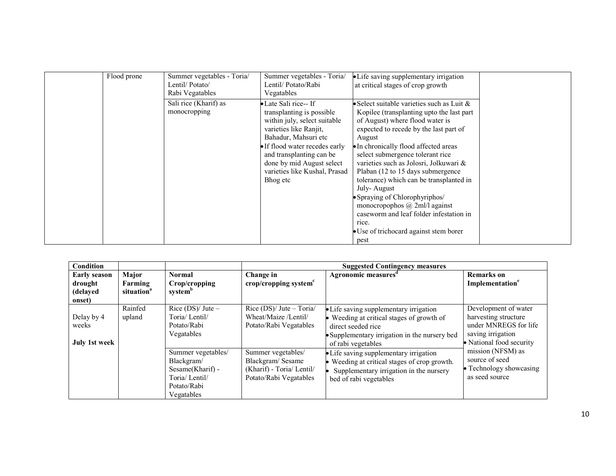| Flood prone | Summer vegetables - Toria/<br>Lentil/Potato/<br>Rabi Vegatables | Summer vegetables - Toria/<br>Lentil/Potato/Rabi<br>Vegatables                                                                                                                                                                                                               | • Life saving supplementary irrigation<br>at critical stages of crop growth                                                                                                                                                                                                                                                                                                                                                                                                                                                                                                             |
|-------------|-----------------------------------------------------------------|------------------------------------------------------------------------------------------------------------------------------------------------------------------------------------------------------------------------------------------------------------------------------|-----------------------------------------------------------------------------------------------------------------------------------------------------------------------------------------------------------------------------------------------------------------------------------------------------------------------------------------------------------------------------------------------------------------------------------------------------------------------------------------------------------------------------------------------------------------------------------------|
|             | Sali rice (Kharif) as<br>monocropping                           | • Late Sali rice-- If<br>transplanting is possible<br>within july, select suitable<br>varieties like Ranjit,<br>Bahadur, Mahsuri etc<br>• If flood water recedes early<br>and transplanting can be<br>done by mid August select<br>varieties like Kushal, Prasad<br>Bhog etc | • Select suitable varieties such as Luit $\&$<br>Kopilee (transplanting upto the last part)<br>of August) where flood water is<br>expected to recede by the last part of<br>August<br>• In chronically flood affected areas<br>select submergence tolerant rice<br>varieties such as Jolosri, Jolkuwari &<br>Plaban (12 to 15 days submergence)<br>tolerance) which can be transplanted in<br>July-August<br>Spraying of Chlorophyriphos/<br>monocropophos $\omega$ 2ml/l against<br>caseworm and leaf folder infestation in<br>rice.<br>• Use of trichocard against stem borer<br>pest |

| <b>Condition</b>                                     |                                            |                                                                                                    |                                                                                               | <b>Suggested Contingency measures</b>                                                                                                                                            |                                                                                                                        |  |
|------------------------------------------------------|--------------------------------------------|----------------------------------------------------------------------------------------------------|-----------------------------------------------------------------------------------------------|----------------------------------------------------------------------------------------------------------------------------------------------------------------------------------|------------------------------------------------------------------------------------------------------------------------|--|
| <b>Early season</b><br>drought<br>(delayed<br>onset) | Major<br>Farming<br>situation <sup>a</sup> | <b>Normal</b><br>Crop/cropping<br>system <sup>b</sup>                                              | Change in<br>crop/cropping system $c$                                                         | Agronomic measures <sup>d</sup>                                                                                                                                                  | <b>Remarks</b> on<br>Implementation <sup>e</sup>                                                                       |  |
| Delay by 4<br>weeks<br>July 1st week                 | Rainfed<br>upland                          | Rice $(DS)/$ Jute –<br>Toria/Lentil/<br>Potato/Rabi<br>Vegatables                                  | Rice (DS)/ Jute - Toria/<br>Wheat/Maize /Lentil/<br>Potato/Rabi Vegatables                    | • Life saving supplementary irrigation<br>• Weeding at critical stages of growth of<br>direct seeded rice<br>• Supplementary irrigation in the nursery bed<br>of rabi vegetables | Development of water<br>harvesting structure<br>under MNREGS for life<br>saving irrigation<br>• National food security |  |
|                                                      |                                            | Summer vegetables/<br>Blackgram/<br>Sesame(Kharif) -<br>Toria/Lentil/<br>Potato/Rabi<br>Vegatables | Summer vegetables/<br>Blackgram/Sesame<br>(Kharif) - Toria/ Lentil/<br>Potato/Rabi Vegatables | • Life saving supplementary irrigation<br>• Weeding at critical stages of crop growth.<br>Supplementary irrigation in the nursery<br>bed of rabi vegetables                      | mission (NFSM) as<br>source of seed<br>• Technology showcasing<br>as seed source                                       |  |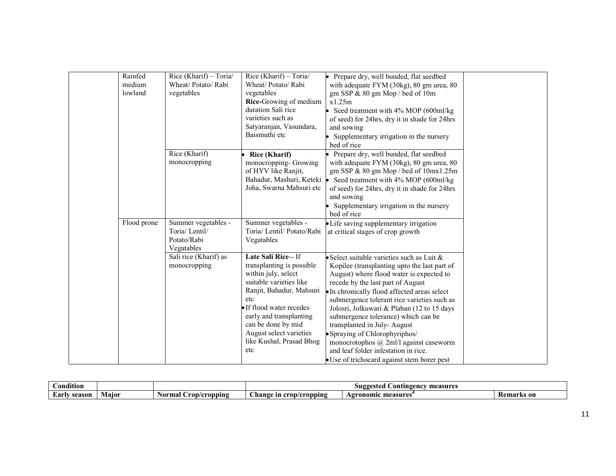| Rainfed<br>medium<br>lowland | Rice (Kharif) - Toria/<br>Wheat/Potato/Rabi<br>vegetables         | Rice (Kharif) - Toria/<br>Wheat/Potato/Rabi<br>vegetables<br>Rice-Growing of medium<br>duration Sali rice<br>varieties such as<br>Satyaranjan, Vasundara,<br>Baismuthi etc                                                                                                       | Prepare dry, well bunded, flat seedbed<br>with adequate FYM (30kg), 80 gm urea, 80<br>gm SSP & 80 gm Mop / bed of 10m<br>x1.25m<br>Seed treatment with 4% MOP (600ml/kg)<br>of seed) for 24hrs, dry it in shade for 24hrs<br>and sowing<br>Supplementary irrigation in the nursery<br>bed of rice                                                                                                                                                                                                                                                                      |
|------------------------------|-------------------------------------------------------------------|----------------------------------------------------------------------------------------------------------------------------------------------------------------------------------------------------------------------------------------------------------------------------------|------------------------------------------------------------------------------------------------------------------------------------------------------------------------------------------------------------------------------------------------------------------------------------------------------------------------------------------------------------------------------------------------------------------------------------------------------------------------------------------------------------------------------------------------------------------------|
|                              | Rice (Kharif)<br>monocropping                                     | <b>Rice (Kharif)</b><br>monocropping- Growing<br>of HYV like Ranjit,<br>Bahadur, Mashuri, Keteki ·<br>Joha, Swarna Mahsuri etc                                                                                                                                                   | Prepare dry, well bunded, flat seedbed<br>with adequate FYM (30kg), 80 gm urea, 80<br>gm SSP & 80 gm Mop / bed of 10mx1.25m<br>Seed treatment with 4% MOP (600ml/kg)<br>of seed) for 24hrs, dry it in shade for 24hrs<br>and sowing<br>Supplementary irrigation in the nursery<br>bed of rice                                                                                                                                                                                                                                                                          |
| Flood prone                  | Summer vegetables -<br>Toria/Lentil/<br>Potato/Rabi<br>Vegatables | Summer vegetables -<br>Toria/ Lentil/ Potato/Rabi<br>Vegatables                                                                                                                                                                                                                  | • Life saving supplementary irrigation<br>at critical stages of crop growth                                                                                                                                                                                                                                                                                                                                                                                                                                                                                            |
|                              | Sali rice (Kharif) as<br>monocropping                             | Late Sali Rice-- If<br>transplanting is possible<br>within july, select<br>suitable varieties like<br>Ranjit, Bahadur, Mahsuri<br>etc<br>• If flood water recedes<br>early and transplanting<br>can be done by mid<br>August select varieties<br>like Kushal, Prasad Bhog<br>etc | Select suitable varieties such as Luit $\&$<br>Kopilee (transplanting upto the last part of<br>August) where flood water is expected to<br>recede by the last part of August<br>• In chronically flood affected areas select<br>submergence tolerant rice varieties such as<br>Jolosri, Jolkuwari & Plaban (12 to 15 days<br>submergence tolerance) which can be<br>transplanted in July-August<br>• Spraying of Chlorophyriphos/<br>monocrotophos $(a)$ 2ml/l against caseworm<br>and leaf folder infestation in rice.<br>• Use of trichocard against stem borer pest |

| $\cdots$<br>Dondition |       |                         | measures '<br>zestec<br><b>Contingenc</b><br>.sugg∕ |                       |                 |
|-----------------------|-------|-------------------------|-----------------------------------------------------|-----------------------|-----------------|
| Early<br>season       | Major | ron/cropping/<br>Normal | $\sim$<br><b>hange</b><br>crop/cropping<br>ın       | measures<br>vgronomic | Kemai<br>rks on |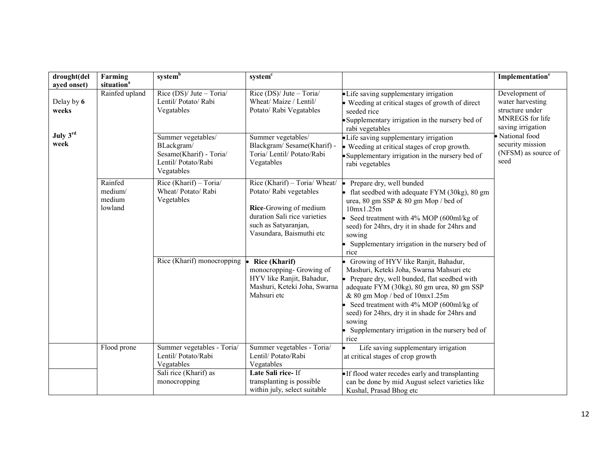| drought(del         | Farming                                 | systemb                                                                                          | system <sup>c</sup>                                                                                                                                                    |                                                                                                                                                                                                                                                                                                                                                                                           | Implementation <sup>e</sup>                                                                   |
|---------------------|-----------------------------------------|--------------------------------------------------------------------------------------------------|------------------------------------------------------------------------------------------------------------------------------------------------------------------------|-------------------------------------------------------------------------------------------------------------------------------------------------------------------------------------------------------------------------------------------------------------------------------------------------------------------------------------------------------------------------------------------|-----------------------------------------------------------------------------------------------|
| ayed onset)         | situation <sup>a</sup>                  |                                                                                                  |                                                                                                                                                                        |                                                                                                                                                                                                                                                                                                                                                                                           |                                                                                               |
| Delay by 6<br>weeks | Rainfed upland                          | Rice $(DS)/$ Jute – Toria<br>Lentil/ Potato/ Rabi<br>Vegatables                                  | Rice $(DS)/$ Jute – Toria<br>Wheat/ Maize / Lentil/<br>Potato/ Rabi Vegatables                                                                                         | • Life saving supplementary irrigation<br>• Weeding at critical stages of growth of direct<br>seeded rice<br>• Supplementary irrigation in the nursery bed of<br>rabi vegetables                                                                                                                                                                                                          | Development of<br>water harvesting<br>structure under<br>MNREGS for life<br>saving irrigation |
| July 3rd<br>week    |                                         | Summer vegetables/<br>BLackgram/<br>Sesame(Kharif) - Toria/<br>Lentil/ Potato/Rabi<br>Vegatables | Summer vegetables/<br>Blackgram/Sesame(Kharif) -<br>Toria/ Lentil/ Potato/Rabi<br>Vegatables                                                                           | • Life saving supplementary irrigation<br>• Weeding at critical stages of crop growth.<br>• Supplementary irrigation in the nursery bed of<br>rabi vegetables                                                                                                                                                                                                                             | · National food<br>security mission<br>(NFSM) as source of<br>seed                            |
|                     | Rainfed<br>medium/<br>medium<br>lowland | Rice $(Kharif)$ - Toria<br>Wheat/Potato/Rabi<br>Vegetables                                       | Rice (Kharif) - Toria/ Wheat/<br>Potato/ Rabi vegetables<br>Rice-Growing of medium<br>duration Sali rice varieties<br>such as Satyaranjan,<br>Vasundara, Baismuthi etc | Prepare dry, well bunded<br>le.<br>• flat seedbed with adequate FYM (30kg), 80 gm<br>urea, 80 gm SSP & 80 gm Mop / bed of<br>10mx1.25m<br>• Seed treatment with $4\%$ MOP (600ml/kg of<br>seed) for 24hrs, dry it in shade for 24hrs and<br>sowing<br>• Supplementary irrigation in the nursery bed of<br>rice                                                                            |                                                                                               |
|                     |                                         | Rice (Kharif) monocropping                                                                       | <b>Rice (Kharif)</b><br>monocropping- Growing of<br>HYV like Ranjit, Bahadur,<br>Mashuri, Keteki Joha, Swarna<br>Mahsuri etc                                           | • Growing of HYV like Ranjit, Bahadur,<br>Mashuri, Keteki Joha, Swarna Mahsuri etc<br>• Prepare dry, well bunded, flat seedbed with<br>adequate FYM (30kg), 80 gm urea, 80 gm SSP<br>& 80 gm Mop / bed of 10mx1.25m<br>• Seed treatment with $4\%$ MOP (600ml/kg of<br>seed) for 24hrs, dry it in shade for 24hrs and<br>sowing<br>Supplementary irrigation in the nursery bed of<br>rice |                                                                                               |
|                     | Flood prone                             | Summer vegetables - Toria/<br>Lentil/ Potato/Rabi<br>Vegatables                                  | Summer vegetables - Toria/<br>Lentil/ Potato/Rabi<br>Vegatables                                                                                                        | Life saving supplementary irrigation<br>at critical stages of crop growth                                                                                                                                                                                                                                                                                                                 |                                                                                               |
|                     |                                         | Sali rice (Kharif) as<br>monocropping                                                            | Late Sali rice-If<br>transplanting is possible<br>within july, select suitable                                                                                         | • If flood water recedes early and transplanting<br>can be done by mid August select varieties like<br>Kushal, Prasad Bhog etc                                                                                                                                                                                                                                                            |                                                                                               |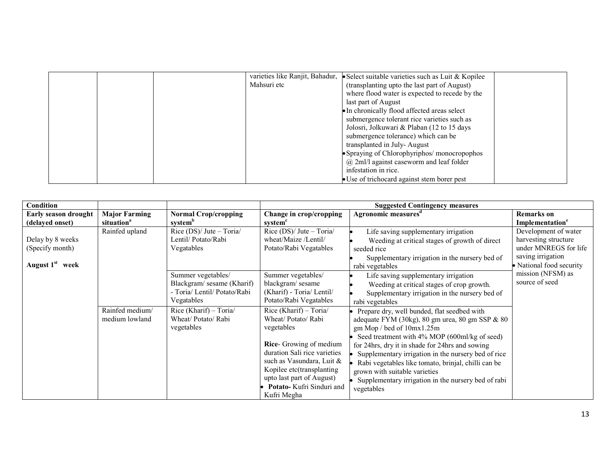| varieties like Ranjit, Bahadur, $\bullet$ Select suitable varieties such as Luit & Kopilee |
|--------------------------------------------------------------------------------------------|
| Mahsuri etc<br>(transplanting up to the last part of August)                               |
| where flood water is expected to recede by the                                             |
| last part of August                                                                        |
| • In chronically flood affected areas select                                               |
| submergence tolerant rice varieties such as                                                |
| Jolosni, Jolkuwari & Plaban (12 to 15 days)                                                |
| submergence tolerance) which can be                                                        |
| transplanted in July-August                                                                |
| • Spraying of Chlorophyriphos/ monocropophos                                               |
| $(a)$ 2ml/l against caseworm and leaf folder                                               |
| infestation in rice.                                                                       |
| • Use of trichocard against stem borer pest                                                |

| <b>Condition</b>                                                      |                                                | <b>Suggested Contingency measures</b>                                                         |                                                                                                                                                                                |                                                                                                                                                                                                                                                                                                                                                                                |                                                                                                                        |
|-----------------------------------------------------------------------|------------------------------------------------|-----------------------------------------------------------------------------------------------|--------------------------------------------------------------------------------------------------------------------------------------------------------------------------------|--------------------------------------------------------------------------------------------------------------------------------------------------------------------------------------------------------------------------------------------------------------------------------------------------------------------------------------------------------------------------------|------------------------------------------------------------------------------------------------------------------------|
| Early season drought<br>(delayed onset)                               | <b>Major Farming</b><br>situation <sup>a</sup> | <b>Normal Crop/cropping</b><br>system <sup>b</sup>                                            | Change in crop/cropping<br>system <sup>c</sup>                                                                                                                                 | Agronomic measures <sup>d</sup>                                                                                                                                                                                                                                                                                                                                                | <b>Remarks</b> on<br>Implementation <sup>e</sup>                                                                       |
| Delay by 8 weeks<br>(Specify month)<br>August 1 <sup>st</sup><br>week | Rainfed upland                                 | Rice $(DS)/$ Jute $-$ Toria $/$<br>Lentil/Potato/Rabi<br>Vegatables                           | Rice (DS)/ Jute - Toria/<br>wheat/Maize /Lentil/<br>Potato/Rabi Vegatables                                                                                                     | Life saving supplementary irrigation<br>Weeding at critical stages of growth of direct<br>seeded rice<br>Supplementary irrigation in the nursery bed of<br>rabi vegetables                                                                                                                                                                                                     | Development of water<br>harvesting structure<br>under MNREGS for life<br>saving irrigation<br>• National food security |
|                                                                       |                                                | Summer vegetables/<br>Blackgram/sesame (Kharif)<br>- Toria/ Lentil/ Potato/Rabi<br>Vegatables | Summer vegetables/<br>blackgram/sesame<br>(Kharif) - Toria/ Lentil/<br>Potato/Rabi Vegatables                                                                                  | Life saving supplementary irrigation<br>Weeding at critical stages of crop growth.<br>Supplementary irrigation in the nursery bed of<br>rabi vegetables                                                                                                                                                                                                                        | mission (NFSM) as<br>source of seed                                                                                    |
|                                                                       | Rainfed medium/<br>medium lowland              | Rice (Kharif) - Toria/<br>Wheat/Potato/Rabi<br>vegetables                                     | Rice (Kharif) - Toria/<br>Wheat/Potato/Rabi<br>vegetables<br>Rice- Growing of medium<br>duration Sali rice varieties<br>such as Vasundara, Luit &<br>Kopilee etc(transplanting | Prepare dry, well bunded, flat seedbed with<br>adequate FYM (30kg), 80 gm urea, 80 gm SSP & 80<br>gm Mop / bed of 10mx1.25m<br>Seed treatment with 4% MOP (600ml/kg of seed)<br>for 24hrs, dry it in shade for 24hrs and sowing<br>Supplementary irrigation in the nursery bed of rice<br>Rabi vegetables like tomato, brinjal, chilli can be<br>grown with suitable varieties |                                                                                                                        |
|                                                                       |                                                |                                                                                               | upto last part of August)<br>Potato-Kufri Sinduri and<br>Kufri Megha                                                                                                           | Supplementary irrigation in the nursery bed of rabi<br>vegetables                                                                                                                                                                                                                                                                                                              |                                                                                                                        |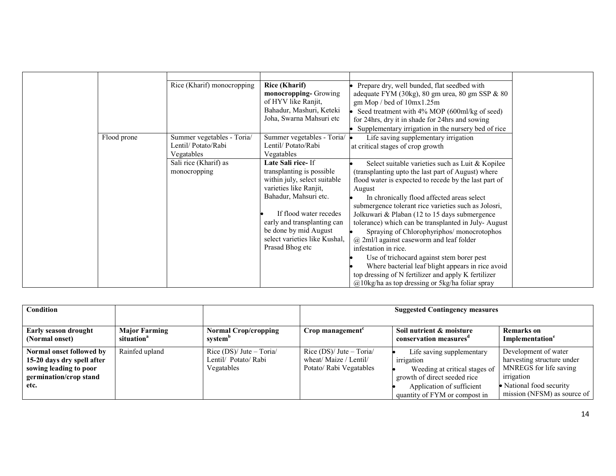|             | Rice (Kharif) monocropping                                     | <b>Rice (Kharif)</b><br>Prepare dry, well bunded, flat seedbed with<br>monocropping-Growing<br>adequate FYM (30kg), 80 gm urea, 80 gm SSP & 80<br>of HYV like Ranjit,<br>gm Mop / bed of 10mx1.25m<br>Bahadur, Mashuri, Keteki<br>Seed treatment with 4% MOP (600ml/kg of seed)<br>Joha, Swarna Mahsuri etc<br>for 24hrs, dry it in shade for 24hrs and sowing<br>Supplementary irrigation in the nursery bed of rice                                                                                                                                                                                                                                                                                                                                                                                                                                                                                                                                                                                           |
|-------------|----------------------------------------------------------------|-----------------------------------------------------------------------------------------------------------------------------------------------------------------------------------------------------------------------------------------------------------------------------------------------------------------------------------------------------------------------------------------------------------------------------------------------------------------------------------------------------------------------------------------------------------------------------------------------------------------------------------------------------------------------------------------------------------------------------------------------------------------------------------------------------------------------------------------------------------------------------------------------------------------------------------------------------------------------------------------------------------------|
| Flood prone | Summer vegetables - Toria/<br>Lentil/Potato/Rabi<br>Vegatables | Summer vegetables - Toria/<br>Life saving supplementary irrigation<br>Lentil/ Potato/Rabi<br>at critical stages of crop growth<br>Vegatables                                                                                                                                                                                                                                                                                                                                                                                                                                                                                                                                                                                                                                                                                                                                                                                                                                                                    |
|             | Sali rice (Kharif) as<br>monocropping                          | Late Sali rice-If<br>Select suitable varieties such as Luit & Kopilee<br>transplanting is possible<br>(transplanting upto the last part of August) where<br>within july, select suitable<br>flood water is expected to recede by the last part of<br>varieties like Ranjit,<br>August<br>Bahadur, Mahsuri etc.<br>In chronically flood affected areas select<br>submergence tolerant rice varieties such as Jolosri,<br>If flood water recedes<br>Jolkuwari & Plaban (12 to 15 days submergence<br>early and transplanting can<br>tolerance) which can be transplanted in July-August<br>be done by mid August<br>Spraying of Chlorophyriphos/ monocrotophos<br>select varieties like Kushal,<br>$\omega$ 2ml/l against caseworm and leaf folder<br>Prasad Bhog etc<br>infestation in rice.<br>Use of trichocard against stem borer pest<br>Where bacterial leaf blight appears in rice avoid<br>top dressing of N fertilizer and apply K fertilizer<br>$\omega$ 10kg/ha as top dressing or 5kg/ha foliar spray |

| <b>Condition</b>                                                                                                   |                                                | <b>Suggested Contingency measures</b>                           |                                                                                |                                                                                                                                                                        |                                                                                                                                                       |
|--------------------------------------------------------------------------------------------------------------------|------------------------------------------------|-----------------------------------------------------------------|--------------------------------------------------------------------------------|------------------------------------------------------------------------------------------------------------------------------------------------------------------------|-------------------------------------------------------------------------------------------------------------------------------------------------------|
| <b>Early season drought</b><br>(Normal onset)                                                                      | <b>Major Farming</b><br>situation <sup>a</sup> | <b>Normal Crop/cropping</b><br>system <sup>b</sup>              | $Crop$ management <sup><math>c</math></sup>                                    | Soil nutrient & moisture<br>conservation measures <sup>a</sup>                                                                                                         | Remarks on<br>Implementation <sup>e</sup>                                                                                                             |
| Normal onset followed by<br>15-20 days dry spell after<br>sowing leading to poor<br>germination/crop stand<br>etc. | Rainfed upland                                 | Rice $(DS)/$ Jute – Toria<br>Lentil/ Potato/ Rabi<br>Vegatables | Rice $(DS)/$ Jute – Toria<br>wheat/ Maize / Lentil/<br>Potato/ Rabi Vegatables | Life saving supplementary<br>irrigation<br>Weeding at critical stages of<br>growth of direct seeded rice<br>Application of sufficient<br>quantity of FYM or compost in | Development of water<br>harvesting structure under<br>MNREGS for life saving<br>irrigation<br>• National food security<br>mission (NFSM) as source of |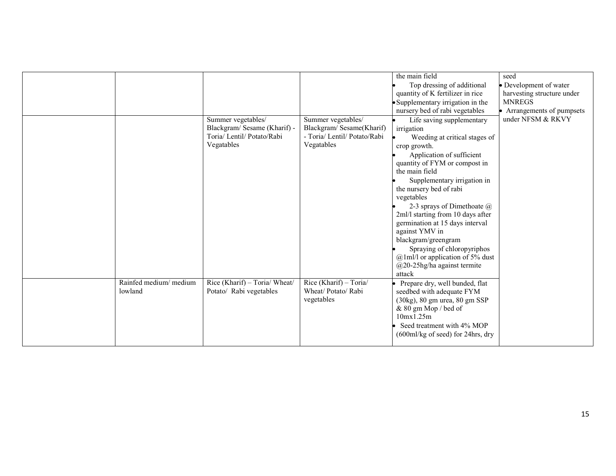|                        |                               |                              | the main field                                                         | seed                       |
|------------------------|-------------------------------|------------------------------|------------------------------------------------------------------------|----------------------------|
|                        |                               |                              | Top dressing of additional                                             | • Development of water     |
|                        |                               |                              | quantity of K fertilizer in rice                                       | harvesting structure under |
|                        |                               |                              | · Supplementary irrigation in the                                      | <b>MNREGS</b>              |
|                        |                               |                              | nursery bed of rabi vegetables                                         | Arrangements of pumpsets   |
|                        | Summer vegetables/            | Summer vegetables/           | Life saving supplementary                                              | under NFSM & RKVY          |
|                        | Blackgram/ Sesame (Kharif) -  | Blackgram/Sesame(Kharif)     | irrigation                                                             |                            |
|                        | Toria/ Lentil/ Potato/Rabi    | - Toria/ Lentil/ Potato/Rabi | Weeding at critical stages of                                          |                            |
|                        | Vegatables                    | Vegatables                   | crop growth.                                                           |                            |
|                        |                               |                              | Application of sufficient                                              |                            |
|                        |                               |                              | quantity of FYM or compost in                                          |                            |
|                        |                               |                              | the main field                                                         |                            |
|                        |                               |                              | Supplementary irrigation in                                            |                            |
|                        |                               |                              | the nursery bed of rabi                                                |                            |
|                        |                               |                              | vegetables                                                             |                            |
|                        |                               |                              | 2-3 sprays of Dimethoate $\omega$<br>2ml/l starting from 10 days after |                            |
|                        |                               |                              | germination at 15 days interval                                        |                            |
|                        |                               |                              | against YMV in                                                         |                            |
|                        |                               |                              | blackgram/greengram                                                    |                            |
|                        |                               |                              | Spraying of chloropyriphos                                             |                            |
|                        |                               |                              | @1ml/l or application of 5% dust                                       |                            |
|                        |                               |                              | $@20-25$ hg/ha against termite                                         |                            |
|                        |                               |                              | attack                                                                 |                            |
| Rainfed medium/ medium | Rice (Kharif) - Toria/ Wheat/ | Rice (Kharif) - Toria/       | Prepare dry, well bunded, flat                                         |                            |
| lowland                | Potato/ Rabi vegetables       | Wheat/Potato/Rabi            | seedbed with adequate FYM                                              |                            |
|                        |                               | vegetables                   | (30kg), 80 gm urea, 80 gm SSP                                          |                            |
|                        |                               |                              | & 80 gm Mop / bed of                                                   |                            |
|                        |                               |                              | 10mx1.25m                                                              |                            |
|                        |                               |                              | Seed treatment with 4% MOP                                             |                            |
|                        |                               |                              | $(600ml/kg \text{ of seed})$ for 24hrs, dry                            |                            |
|                        |                               |                              |                                                                        |                            |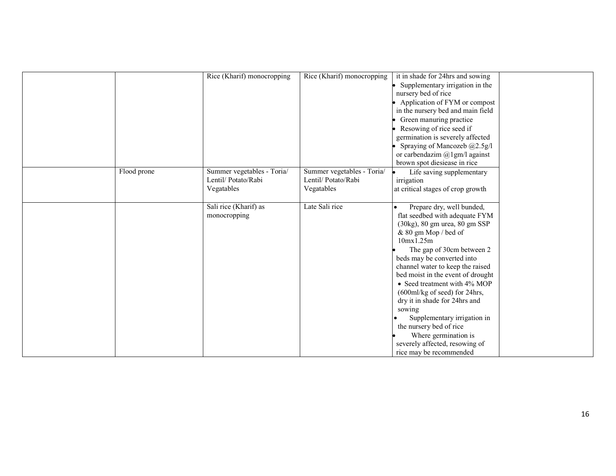|             | Rice (Kharif) monocropping | Rice (Kharif) monocropping | it in shade for 24hrs and sowing  |  |
|-------------|----------------------------|----------------------------|-----------------------------------|--|
|             |                            |                            | Supplementary irrigation in the   |  |
|             |                            |                            | nursery bed of rice               |  |
|             |                            |                            | Application of FYM or compost     |  |
|             |                            |                            | in the nursery bed and main field |  |
|             |                            |                            | Green manuring practice           |  |
|             |                            |                            | Resowing of rice seed if          |  |
|             |                            |                            | germination is severely affected  |  |
|             |                            |                            | Spraying of Mancozeb @2.5g/l      |  |
|             |                            |                            | or carbendazim $@1gm/1$ against   |  |
|             |                            |                            | brown spot diesiease in rice      |  |
| Flood prone | Summer vegetables - Toria/ | Summer vegetables - Toria/ | Life saving supplementary         |  |
|             | Lentil/ Potato/Rabi        | Lentil/ Potato/Rabi        | irrigation                        |  |
|             | Vegatables                 | Vegatables                 | at critical stages of crop growth |  |
|             |                            |                            |                                   |  |
|             | Sali rice (Kharif) as      | Late Sali rice             | Prepare dry, well bunded,         |  |
|             | monocropping               |                            | flat seedbed with adequate FYM    |  |
|             |                            |                            | (30kg), 80 gm urea, 80 gm SSP     |  |
|             |                            |                            | & 80 gm Mop / bed of              |  |
|             |                            |                            | 10mx1.25m                         |  |
|             |                            |                            | The gap of 30cm between 2         |  |
|             |                            |                            | beds may be converted into        |  |
|             |                            |                            | channel water to keep the raised  |  |
|             |                            |                            | bed moist in the event of drought |  |
|             |                            |                            | • Seed treatment with 4% MOP      |  |
|             |                            |                            | (600ml/kg of seed) for 24hrs,     |  |
|             |                            |                            | dry it in shade for 24hrs and     |  |
|             |                            |                            | sowing                            |  |
|             |                            |                            | Supplementary irrigation in       |  |
|             |                            |                            | the nursery bed of rice           |  |
|             |                            |                            | Where germination is              |  |
|             |                            |                            | severely affected, resowing of    |  |
|             |                            |                            | rice may be recommended           |  |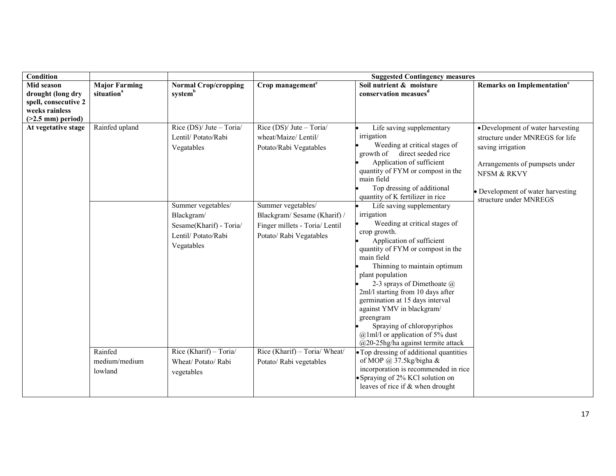| <b>Condition</b>                                                                                        |                                                |                                                                                                                                                                                               | <b>Suggested Contingency measures</b>                                                                                                                                                                                           |                                                                                                                                                                                                                                                                                                                                                                                                                                                                                                                                                                                                                                                                                                                                                                                                          |                                                                                                                                                                                                           |  |
|---------------------------------------------------------------------------------------------------------|------------------------------------------------|-----------------------------------------------------------------------------------------------------------------------------------------------------------------------------------------------|---------------------------------------------------------------------------------------------------------------------------------------------------------------------------------------------------------------------------------|----------------------------------------------------------------------------------------------------------------------------------------------------------------------------------------------------------------------------------------------------------------------------------------------------------------------------------------------------------------------------------------------------------------------------------------------------------------------------------------------------------------------------------------------------------------------------------------------------------------------------------------------------------------------------------------------------------------------------------------------------------------------------------------------------------|-----------------------------------------------------------------------------------------------------------------------------------------------------------------------------------------------------------|--|
| <b>Mid season</b><br>drought (long dry<br>spell, consecutive 2<br>weeks rainless<br>$(>2.5$ mm) period) | <b>Major Farming</b><br>situation <sup>a</sup> | <b>Normal Crop/cropping</b><br>systemb                                                                                                                                                        | Crop management $c$                                                                                                                                                                                                             | Soil nutrient & moisture<br>conservation measues <sup>d</sup>                                                                                                                                                                                                                                                                                                                                                                                                                                                                                                                                                                                                                                                                                                                                            | Remarks on Implementation <sup>e</sup>                                                                                                                                                                    |  |
| At vegetative stage                                                                                     | Rainfed upland<br>Rainfed                      | Rice $(DS)/$ Jute - Toria/<br>Lentil/ Potato/Rabi<br>Vegatables<br>Summer vegetables/<br>Blackgram/<br>Sesame(Kharif) - Toria/<br>Lentil/ Potato/Rabi<br>Vegatables<br>Rice (Kharif) - Toria/ | Rice $(DS)/$ Jute - Toria/<br>wheat/Maize/ Lentil/<br>Potato/Rabi Vegatables<br>Summer vegetables/<br>Blackgram/Sesame (Kharif) /<br>Finger millets - Toria/ Lentil<br>Potato/ Rabi Vegatables<br>Rice (Kharif) - Toria/ Wheat/ | Life saving supplementary<br>irrigation<br>Weeding at critical stages of<br>growth of direct seeded rice<br>Application of sufficient<br>quantity of FYM or compost in the<br>main field<br>Top dressing of additional<br>quantity of K fertilizer in rice<br>Life saving supplementary<br>irrigation<br>Weeding at critical stages of<br>crop growth.<br>Application of sufficient<br>quantity of FYM or compost in the<br>main field<br>Thinning to maintain optimum<br>plant population<br>2-3 sprays of Dimethoate $\omega$<br>2ml/l starting from 10 days after<br>germination at 15 days interval<br>against YMV in blackgram/<br>greengram<br>Spraying of chloropyriphos<br>$@lm1/$ or application of 5% dust<br>$@20-25$ hg/ha against termite attack<br>• Top dressing of additional quantities | • Development of water harvesting<br>structure under MNREGS for life<br>saving irrigation<br>Arrangements of pumpsets under<br>NFSM & RKVY<br>• Development of water harvesting<br>structure under MNREGS |  |
|                                                                                                         | medium/medium<br>lowland                       | Wheat/Potato/Rabi<br>vegetables                                                                                                                                                               | Potato/ Rabi vegetables                                                                                                                                                                                                         | of MOP $\omega$ 37.5kg/bigha &<br>incorporation is recommended in rice<br>• Spraying of 2% KCl solution on<br>leaves of rice if & when drought                                                                                                                                                                                                                                                                                                                                                                                                                                                                                                                                                                                                                                                           |                                                                                                                                                                                                           |  |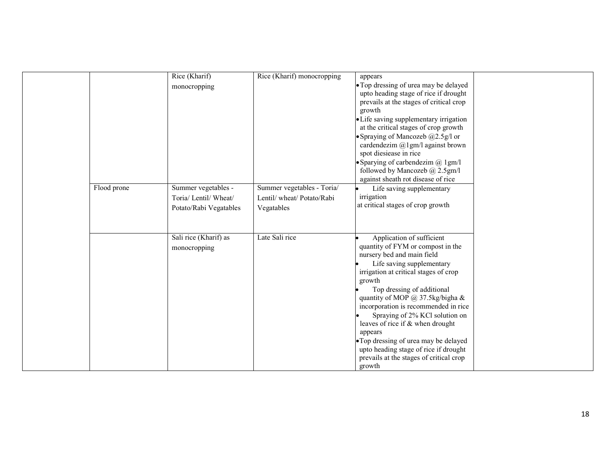|             | Rice (Kharif)<br>monocropping                                          | Rice (Kharif) monocropping                                           | appears<br>• Top dressing of urea may be delayed<br>upto heading stage of rice if drought<br>prevails at the stages of critical crop<br>growth<br>• Life saving supplementary irrigation<br>at the critical stages of crop growth<br>• Spraying of Mancozeb $(a)$ 2.5g/l or<br>cardendezim $@$ 1gm/l against brown<br>spot diesiease in rice<br>• Sparying of carbendezim $@$ 1gm/l<br>followed by Mancozeb @ 2.5gm/l<br>against sheath rot disease of rice                                                    |  |
|-------------|------------------------------------------------------------------------|----------------------------------------------------------------------|----------------------------------------------------------------------------------------------------------------------------------------------------------------------------------------------------------------------------------------------------------------------------------------------------------------------------------------------------------------------------------------------------------------------------------------------------------------------------------------------------------------|--|
| Flood prone | Summer vegetables -<br>Toria/ Lentil/ Wheat/<br>Potato/Rabi Vegatables | Summer vegetables - Toria/<br>Lentil/wheat/Potato/Rabi<br>Vegatables | Life saving supplementary<br>irrigation<br>at critical stages of crop growth                                                                                                                                                                                                                                                                                                                                                                                                                                   |  |
|             | Sali rice (Kharif) as<br>monocropping                                  | Late Sali rice                                                       | Application of sufficient<br>quantity of FYM or compost in the<br>nursery bed and main field<br>Life saving supplementary<br>irrigation at critical stages of crop<br>growth<br>Top dressing of additional<br>quantity of MOP @ 37.5kg/bigha &<br>incorporation is recommended in rice<br>Spraying of 2% KCl solution on<br>leaves of rice if & when drought<br>appears<br>• Top dressing of urea may be delayed<br>upto heading stage of rice if drought<br>prevails at the stages of critical crop<br>growth |  |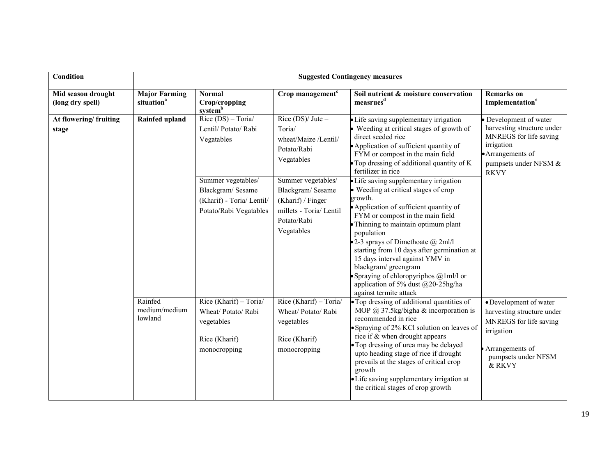| <b>Condition</b>                                                                                                                      | <b>Suggested Contingency measures</b>                                                                                      |                                                                                                                                                                                                                                                                                                                                                                                                                        |                                                                                                                                                                                                                                                                                                                                                                                                                                                                                                 |                                                                                                                                                                                                                                                              |                                                                                                                                                           |  |
|---------------------------------------------------------------------------------------------------------------------------------------|----------------------------------------------------------------------------------------------------------------------------|------------------------------------------------------------------------------------------------------------------------------------------------------------------------------------------------------------------------------------------------------------------------------------------------------------------------------------------------------------------------------------------------------------------------|-------------------------------------------------------------------------------------------------------------------------------------------------------------------------------------------------------------------------------------------------------------------------------------------------------------------------------------------------------------------------------------------------------------------------------------------------------------------------------------------------|--------------------------------------------------------------------------------------------------------------------------------------------------------------------------------------------------------------------------------------------------------------|-----------------------------------------------------------------------------------------------------------------------------------------------------------|--|
| Mid season drought<br>(long dry spell)                                                                                                | <b>Major Farming</b><br>situation <sup>a</sup>                                                                             | <b>Normal</b><br>Crop/cropping<br>system <sup>b</sup>                                                                                                                                                                                                                                                                                                                                                                  | Crop management <sup>c</sup>                                                                                                                                                                                                                                                                                                                                                                                                                                                                    | Soil nutrient & moisture conservation<br>measrues <sup>d</sup>                                                                                                                                                                                               | <b>Remarks</b> on<br>Implementation <sup>e</sup>                                                                                                          |  |
| At flowering/fruiting<br>stage                                                                                                        | Rainfed upland                                                                                                             | $Rice (DS) - Toria/$<br>Lentil/ Potato/ Rabi<br>Vegatables                                                                                                                                                                                                                                                                                                                                                             | Rice $(DS)/$ Jute –<br>Toria/<br>wheat/Maize /Lentil/<br>Potato/Rabi<br>Vegatables                                                                                                                                                                                                                                                                                                                                                                                                              | • Life saving supplementary irrigation<br>• Weeding at critical stages of growth of<br>direct seeded rice<br>• Application of sufficient quantity of<br>FYM or compost in the main field<br>• Top dressing of additional quantity of K<br>fertilizer in rice | · Development of water<br>harvesting structure under<br>MNREGS for life saving<br>irrigation<br>• Arrangements of<br>pumpsets under NFSM &<br><b>RKVY</b> |  |
|                                                                                                                                       | Summer vegetables/<br>Blackgram/Sesame<br>(Kharif) - Toria/ Lentil/<br>Potato/Rabi Vegatables<br>Potato/Rabi<br>Vegatables | Summer vegetables/<br>Blackgram/Sesame<br>(Kharif) / Finger<br>millets - Toria/ Lentil                                                                                                                                                                                                                                                                                                                                 | • Life saving supplementary irrigation<br>• Weeding at critical stages of crop<br>growth.<br>• Application of sufficient quantity of<br>FYM or compost in the main field<br>• Thinning to maintain optimum plant<br>population<br>•2-3 sprays of Dimethoate $\omega$ 2ml/l<br>starting from 10 days after germination at<br>15 days interval against YMV in<br>blackgram/ greengram<br>• Spraying of chloropyriphos $@lml/1$ or<br>application of 5% dust @20-25hg/ha<br>against termite attack |                                                                                                                                                                                                                                                              |                                                                                                                                                           |  |
| Rice (Kharif) $-$ Toria/<br>Rainfed<br>medium/medium<br>Wheat/ Potato/ Rabi<br>lowland<br>vegetables<br>Rice (Kharif)<br>monocropping | Rice (Kharif) - Toria/<br>Wheat/ Potato/ Rabi<br>vegetables<br>Rice (Kharif)<br>monocropping                               | • Top dressing of additional quantities of<br>MOP $@37.5$ kg/bigha & incorporation is<br>recommended in rice<br>• Spraying of 2% KCl solution on leaves of<br>rice if & when drought appears<br>• Top dressing of urea may be delayed<br>upto heading stage of rice if drought<br>prevails at the stages of critical crop<br>growth<br>• Life saving supplementary irrigation at<br>the critical stages of crop growth | • Development of water<br>harvesting structure under<br>MNREGS for life saving<br>irrigation<br>Arrangements of<br>pumpsets under NFSM<br>& RKVY                                                                                                                                                                                                                                                                                                                                                |                                                                                                                                                                                                                                                              |                                                                                                                                                           |  |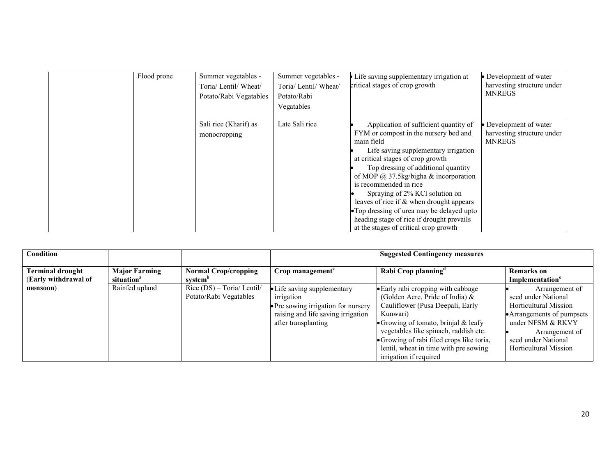| Flood prone | Summer vegetables -<br>Toria/ Lentil/ Wheat/<br>Potato/Rabi Vegatables | Summer vegetables -<br>Toria/ Lentil/ Wheat/<br>Potato/Rabi<br>Vegatables | Life saving supplementary irrigation at<br>critical stages of crop growth                                                                                                                                                                                                                                                                                                                                                                                                                                       | • Development of water<br>harvesting structure under<br><b>MNREGS</b> |
|-------------|------------------------------------------------------------------------|---------------------------------------------------------------------------|-----------------------------------------------------------------------------------------------------------------------------------------------------------------------------------------------------------------------------------------------------------------------------------------------------------------------------------------------------------------------------------------------------------------------------------------------------------------------------------------------------------------|-----------------------------------------------------------------------|
|             | Sali rice (Kharif) as<br>monocropping                                  | Late Sali rice                                                            | Application of sufficient quantity of<br>FYM or compost in the nursery bed and<br>main field<br>Life saving supplementary irrigation<br>at critical stages of crop growth<br>Top dressing of additional quantity<br>of MOP $\omega$ 37.5kg/bigha & incorporation<br>is recommended in rice<br>Spraying of 2% KCl solution on<br>leaves of rice if $\&$ when drought appears<br>• Top dressing of urea may be delayed upto<br>heading stage of rice if drought prevails<br>at the stages of critical crop growth | • Development of water<br>harvesting structure under<br><b>MNREGS</b> |

| Condition                                       |                                                |                                                       |                                                                                                                                               | <b>Suggested Contingency measures</b>                                                                                                                                                                                                                                                                                       |                                                                                                                                                                                                   |
|-------------------------------------------------|------------------------------------------------|-------------------------------------------------------|-----------------------------------------------------------------------------------------------------------------------------------------------|-----------------------------------------------------------------------------------------------------------------------------------------------------------------------------------------------------------------------------------------------------------------------------------------------------------------------------|---------------------------------------------------------------------------------------------------------------------------------------------------------------------------------------------------|
| <b>Terminal drought</b><br>(Early withdrawal of | <b>Major Farming</b><br>situation <sup>a</sup> | <b>Normal Crop/cropping</b><br>system <sup>b</sup>    | Crop management <sup>c</sup>                                                                                                                  | Rabi Crop planning <sup>d</sup>                                                                                                                                                                                                                                                                                             | <b>Remarks</b> on<br>Implementation <sup>e</sup>                                                                                                                                                  |
| monsoon)                                        | Rainfed upland                                 | $Rice (DS) - Toria/Lentil/$<br>Potato/Rabi Vegatables | • Life saving supplementary<br>irrigation<br>• Pre sowing irrigation for nursery<br>raising and life saving irrigation<br>after transplanting | • Early rabi cropping with cabbage<br>(Golden Acre, Pride of India) $\&$<br>Cauliflower (Pusa Deepali, Early<br>Kunwari)<br>• Growing of tomato, brinial $&$ leafy<br>vegetables like spinach, raddish etc.<br>• Growing of rabi filed crops like toria,<br>lentil, wheat in time with pre sowing<br>irrigation if required | Arrangement of<br>seed under National<br><b>Horticultural Mission</b><br>• Arrangements of pumpsets<br>under NFSM & RKVY<br>Arrangement of<br>seed under National<br><b>Horticultural Mission</b> |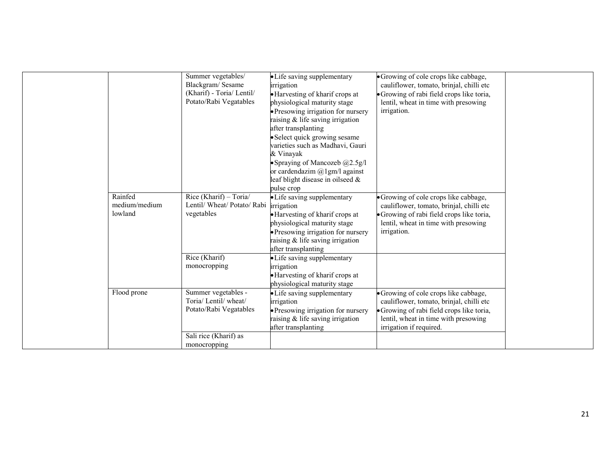|                                     | Summer vegetables/<br>Blackgram/Sesame<br>(Kharif) - Toria/ Lentil/<br>Potato/Rabi Vegatables | • Life saving supplementary<br>irrigation<br>• Harvesting of kharif crops at<br>physiological maturity stage<br>• Presowing irrigation for nursery<br>raising & life saving irrigation<br>after transplanting<br>Select quick growing sesame<br>varieties such as Madhavi, Gauri<br>& Vinayak<br>Spraying of Mancozeb $@2.5g/1$<br>or cardendazim $(a)$ lgm/l against<br>leaf blight disease in oilseed $\&$<br>pulse crop | • Growing of cole crops like cabbage,<br>cauliflower, tomato, brinjal, chilli etc<br>• Growing of rabi field crops like toria,<br>lentil, wheat in time with presowing<br>irrigation.             |  |
|-------------------------------------|-----------------------------------------------------------------------------------------------|----------------------------------------------------------------------------------------------------------------------------------------------------------------------------------------------------------------------------------------------------------------------------------------------------------------------------------------------------------------------------------------------------------------------------|---------------------------------------------------------------------------------------------------------------------------------------------------------------------------------------------------|--|
| Rainfed<br>medium/medium<br>lowland | Rice (Kharif) - Toria/<br>Lentil/Wheat/Potato/Rabi<br>vegetables                              | • Life saving supplementary<br>irrigation<br>• Harvesting of kharif crops at<br>physiological maturity stage<br>• Presowing irrigation for nursery<br>raising & life saving irrigation<br>after transplanting                                                                                                                                                                                                              | • Growing of cole crops like cabbage,<br>cauliflower, tomato, brinjal, chilli etc<br>· Growing of rabi field crops like toria,<br>lentil, wheat in time with presowing<br>irrigation.             |  |
|                                     | Rice (Kharif)<br>monocropping                                                                 | • Life saving supplementary<br>irrigation<br>· Harvesting of kharif crops at<br>physiological maturity stage                                                                                                                                                                                                                                                                                                               |                                                                                                                                                                                                   |  |
| Flood prone                         | Summer vegetables -<br>Toria/ Lentil/ wheat/<br>Potato/Rabi Vegatables                        | • Life saving supplementary<br>irrigation<br>• Presowing irrigation for nursery<br>raising $\&$ life saving irrigation<br>after transplanting                                                                                                                                                                                                                                                                              | • Growing of cole crops like cabbage,<br>cauliflower, tomato, brinjal, chilli etc<br>• Growing of rabi field crops like toria,<br>lentil, wheat in time with presowing<br>irrigation if required. |  |
|                                     | Sali rice (Kharif) as<br>monocropping                                                         |                                                                                                                                                                                                                                                                                                                                                                                                                            |                                                                                                                                                                                                   |  |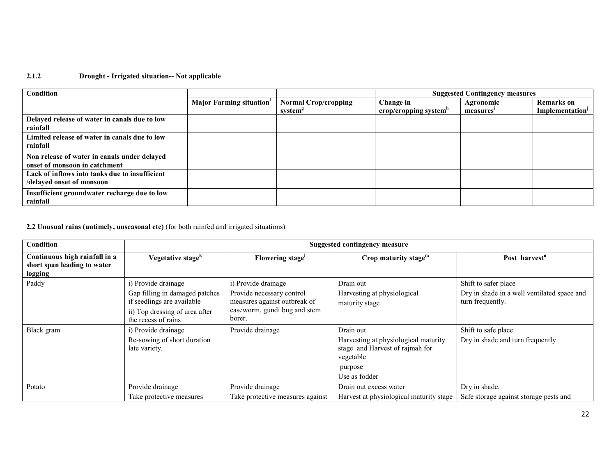#### 2.1.2 Drought - Irrigated situation-- Not applicable

| Condition                                                                     |                                      |                                                    |                                    | <b>Suggested Contingency measures</b> |                                                  |
|-------------------------------------------------------------------------------|--------------------------------------|----------------------------------------------------|------------------------------------|---------------------------------------|--------------------------------------------------|
|                                                                               | Major Farming situation <sup>1</sup> | <b>Normal Crop/cropping</b><br>system <sup>8</sup> | Change in<br>crop/cropping system" | Agronomic<br>measures'                | <b>Remarks</b> on<br>Implementation <sup>1</sup> |
| Delayed release of water in canals due to low<br>rainfall                     |                                      |                                                    |                                    |                                       |                                                  |
| Limited release of water in canals due to low<br>rainfall                     |                                      |                                                    |                                    |                                       |                                                  |
| Non release of water in canals under delayed<br>onset of monsoon in catchment |                                      |                                                    |                                    |                                       |                                                  |
| Lack of inflows into tanks due to insufficient<br>/delayed onset of monsoon   |                                      |                                                    |                                    |                                       |                                                  |
| Insufficient groundwater recharge due to low<br>rainfall                      |                                      |                                                    |                                    |                                       |                                                  |

2.2 Unusual rains (untimely, unseasonal etc) (for both rainfed and irrigated situations)

| Condition                                                               |                                                                                                                                              |                                                                                                                            | <b>Suggested contingency measure</b>                                                                                          |                                                                                         |
|-------------------------------------------------------------------------|----------------------------------------------------------------------------------------------------------------------------------------------|----------------------------------------------------------------------------------------------------------------------------|-------------------------------------------------------------------------------------------------------------------------------|-----------------------------------------------------------------------------------------|
| Continuous high rainfall in a<br>short span leading to water<br>logging | Vegetative stage <sup>k</sup>                                                                                                                | Flowering stage                                                                                                            | Crop maturity stage $m$                                                                                                       | Post harvest <sup>n</sup>                                                               |
| Paddy                                                                   | i) Provide drainage<br>Gap filling in damaged patches<br>if seedlings are available<br>ii) Top dressing of urea after<br>the recess of rains | i) Provide drainage<br>Provide necessary control<br>measures against outbreak of<br>caseworm, gundi bug and stem<br>borer. | Drain out<br>Harvesting at physiological<br>maturity stage                                                                    | Shift to safer place<br>Dry in shade in a well ventilated space and<br>turn frequently. |
| Black gram                                                              | i) Provide drainage<br>Re-sowing of short duration<br>late variety.                                                                          | Provide drainage                                                                                                           | Drain out<br>Harvesting at physiological maturity<br>stage and Harvest of rajmah for<br>vegetable<br>purpose<br>Use as fodder | Shift to safe place.<br>Dry in shade and turn frequently                                |
| Potato                                                                  | Provide drainage<br>Take protective measures                                                                                                 | Provide drainage<br>Take protective measures against                                                                       | Drain out excess water<br>Harvest at physiological maturity stage                                                             | Dry in shade.<br>Safe storage against storage pests and                                 |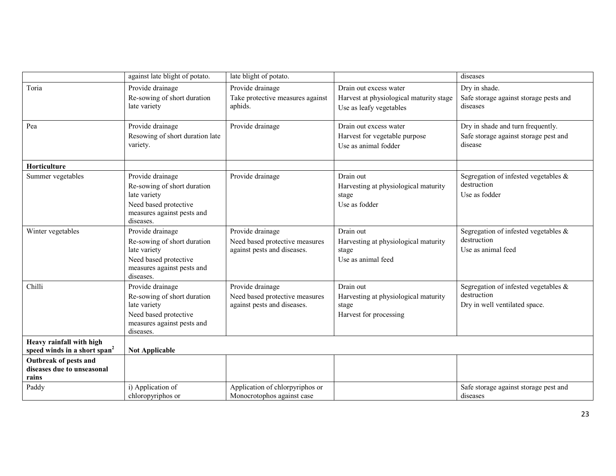|                                                                      | against late blight of potato.                                                                                                      | late blight of potato.                                                            |                                                                                              | diseases                                                                                |
|----------------------------------------------------------------------|-------------------------------------------------------------------------------------------------------------------------------------|-----------------------------------------------------------------------------------|----------------------------------------------------------------------------------------------|-----------------------------------------------------------------------------------------|
| Toria                                                                | Provide drainage<br>Re-sowing of short duration<br>late variety                                                                     | Provide drainage<br>Take protective measures against<br>aphids.                   | Drain out excess water<br>Harvest at physiological maturity stage<br>Use as leafy vegetables | Dry in shade.<br>Safe storage against storage pests and<br>diseases                     |
| Pea                                                                  | Provide drainage<br>Resowing of short duration late<br>variety.                                                                     | Provide drainage                                                                  | Drain out excess water<br>Harvest for vegetable purpose<br>Use as animal fodder              | Dry in shade and turn frequently.<br>Safe storage against storage pest and<br>disease   |
| <b>Horticulture</b>                                                  |                                                                                                                                     |                                                                                   |                                                                                              |                                                                                         |
| Summer vegetables                                                    | Provide drainage<br>Re-sowing of short duration<br>late variety<br>Need based protective<br>measures against pests and<br>diseases. | Provide drainage                                                                  | Drain out<br>Harvesting at physiological maturity<br>stage<br>Use as fodder                  | Segregation of infested vegetables $\&$<br>destruction<br>Use as fodder                 |
| Winter vegetables                                                    | Provide drainage<br>Re-sowing of short duration<br>late variety<br>Need based protective<br>measures against pests and<br>diseases. | Provide drainage<br>Need based protective measures<br>against pests and diseases. | Drain out<br>Harvesting at physiological maturity<br>stage<br>Use as animal feed             | Segregation of infested vegetables $\&$<br>destruction<br>Use as animal feed            |
| Chilli                                                               | Provide drainage<br>Re-sowing of short duration<br>late variety<br>Need based protective<br>measures against pests and<br>diseases. | Provide drainage<br>Need based protective measures<br>against pests and diseases. | Drain out<br>Harvesting at physiological maturity<br>stage<br>Harvest for processing         | Segregation of infested vegetables $\&$<br>destruction<br>Dry in well ventilated space. |
| Heavy rainfall with high<br>speed winds in a short span <sup>2</sup> | <b>Not Applicable</b>                                                                                                               |                                                                                   |                                                                                              |                                                                                         |
| <b>Outbreak of pests and</b><br>diseases due to unseasonal<br>rains  |                                                                                                                                     |                                                                                   |                                                                                              |                                                                                         |
| Paddy                                                                | i) Application of<br>chloropyriphos or                                                                                              | Application of chlorpyriphos or<br>Monocrotophos against case                     |                                                                                              | Safe storage against storage pest and<br>diseases                                       |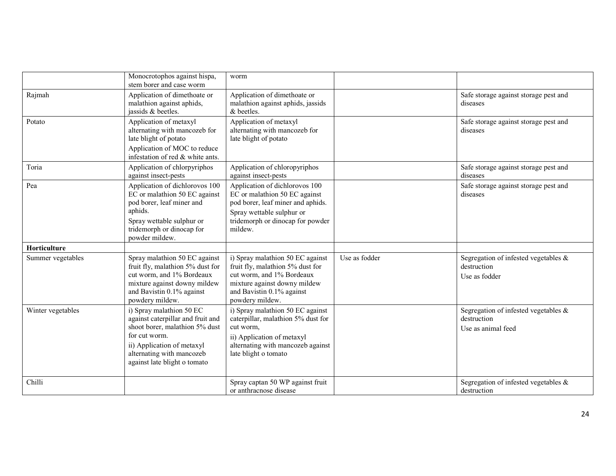|                   | Monocrotophos against hispa,<br>stem borer and case worm                                                                                                                                                    | worm                                                                                                                                                                              |               |                                                                              |
|-------------------|-------------------------------------------------------------------------------------------------------------------------------------------------------------------------------------------------------------|-----------------------------------------------------------------------------------------------------------------------------------------------------------------------------------|---------------|------------------------------------------------------------------------------|
| Rajmah            | Application of dimethoate or<br>malathion against aphids,<br>jassids & beetles.                                                                                                                             | Application of dimethoate or<br>malathion against aphids, jassids<br>& beetles.                                                                                                   |               | Safe storage against storage pest and<br>diseases                            |
| Potato            | Application of metaxyl<br>alternating with mancozeb for<br>late blight of potato<br>Application of MOC to reduce<br>infestation of red & white ants.                                                        | Application of metaxyl<br>alternating with mancozeb for<br>late blight of potato                                                                                                  |               | Safe storage against storage pest and<br>diseases                            |
| Toria             | Application of chlorpyriphos<br>against insect-pests                                                                                                                                                        | Application of chloropyriphos<br>against insect-pests                                                                                                                             |               | Safe storage against storage pest and<br>diseases                            |
| Pea               | Application of dichlorovos 100<br>EC or malathion 50 EC against<br>pod borer, leaf miner and<br>aphids.<br>Spray wettable sulphur or<br>tridemorph or dinocap for<br>powder mildew.                         | Application of dichlorovos 100<br>EC or malathion 50 EC against<br>pod borer, leaf miner and aphids.<br>Spray wettable sulphur or<br>tridemorph or dinocap for powder<br>mildew.  |               | Safe storage against storage pest and<br>diseases                            |
| Horticulture      |                                                                                                                                                                                                             |                                                                                                                                                                                   |               |                                                                              |
| Summer vegetables | Spray malathion 50 EC against<br>fruit fly, malathion 5% dust for<br>cut worm, and 1% Bordeaux<br>mixture against downy mildew<br>and Bavistin 0.1% against<br>powdery mildew.                              | i) Spray malathion 50 EC against<br>fruit fly, malathion 5% dust for<br>cut worm, and 1% Bordeaux<br>mixture against downy mildew<br>and Bavistin 0.1% against<br>powdery mildew. | Use as fodder | Segregation of infested vegetables $\&$<br>destruction<br>Use as fodder      |
| Winter vegetables | i) Spray malathion 50 EC<br>against caterpillar and fruit and<br>shoot borer, malathion 5% dust<br>for cut worm.<br>ii) Application of metaxyl<br>alternating with mancozeb<br>against late blight o tomato | i) Spray malathion 50 EC against<br>caterpillar, malathion 5% dust for<br>cut worm,<br>ii) Application of metaxyl<br>alternating with mancozeb against<br>late blight o tomato    |               | Segregation of infested vegetables $\&$<br>destruction<br>Use as animal feed |
| Chilli            |                                                                                                                                                                                                             | Spray captan 50 WP against fruit<br>or anthracnose disease                                                                                                                        |               | Segregation of infested vegetables $\&$<br>destruction                       |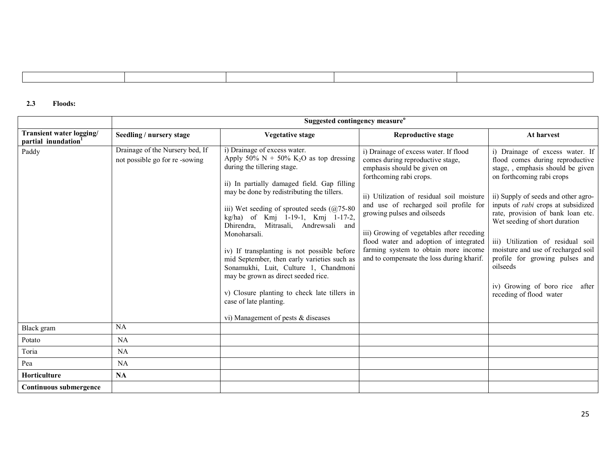#### 2.3 Floods:

|                                                             | Suggested contingency measure <sup>o</sup>                       |                                                                                                                                                                                                                                                                                                                                                                                                                                                                                                                                                                                                                                                            |                                                                                                                                                                                                                                                                                                                                                                                                                                      |                                                                                                                                                                                                                                                                                                                                                                                                                                                                                      |  |
|-------------------------------------------------------------|------------------------------------------------------------------|------------------------------------------------------------------------------------------------------------------------------------------------------------------------------------------------------------------------------------------------------------------------------------------------------------------------------------------------------------------------------------------------------------------------------------------------------------------------------------------------------------------------------------------------------------------------------------------------------------------------------------------------------------|--------------------------------------------------------------------------------------------------------------------------------------------------------------------------------------------------------------------------------------------------------------------------------------------------------------------------------------------------------------------------------------------------------------------------------------|--------------------------------------------------------------------------------------------------------------------------------------------------------------------------------------------------------------------------------------------------------------------------------------------------------------------------------------------------------------------------------------------------------------------------------------------------------------------------------------|--|
| Transient water logging/<br>partial inundation <sup>1</sup> | Seedling / nursery stage                                         | Vegetative stage                                                                                                                                                                                                                                                                                                                                                                                                                                                                                                                                                                                                                                           | <b>Reproductive stage</b>                                                                                                                                                                                                                                                                                                                                                                                                            | At harvest                                                                                                                                                                                                                                                                                                                                                                                                                                                                           |  |
| Paddy                                                       | Drainage of the Nursery bed, If<br>not possible go for re-sowing | i) Drainage of excess water.<br>Apply 50% N + 50% K <sub>2</sub> O as top dressing<br>during the tillering stage.<br>ii) In partially damaged field. Gap filling<br>may be done by redistributing the tillers.<br>iii) Wet seeding of sprouted seeds $(@75-80)$<br>kg/ha) of Kmj 1-19-1, Kmj 1-17-2,<br>Dhirendra, Mitrasali, Andrewsali and<br>Monoharsali.<br>iv) If transplanting is not possible before<br>mid September, then early varieties such as<br>Sonamukhi, Luit, Culture 1, Chandmoni<br>may be grown as direct seeded rice.<br>v) Closure planting to check late tillers in<br>case of late planting.<br>vi) Management of pests & diseases | i) Drainage of excess water. If flood<br>comes during reproductive stage,<br>emphasis should be given on<br>forthcoming rabi crops.<br>ii) Utilization of residual soil moisture<br>and use of recharged soil profile for<br>growing pulses and oilseeds<br>iii) Growing of vegetables after receding<br>flood water and adoption of integrated<br>farming system to obtain more income<br>and to compensate the loss during kharif. | i) Drainage of excess water. If<br>flood comes during reproductive<br>stage, , emphasis should be given<br>on forthcoming rabi crops<br>ii) Supply of seeds and other agro-<br>inputs of <i>rabi</i> crops at subsidized<br>rate, provision of bank loan etc.<br>Wet seeding of short duration<br>iii) Utilization of residual soil<br>moisture and use of recharged soil<br>profile for growing pulses and<br>oilseeds<br>iv) Growing of boro rice after<br>receding of flood water |  |
| Black gram                                                  | NA                                                               |                                                                                                                                                                                                                                                                                                                                                                                                                                                                                                                                                                                                                                                            |                                                                                                                                                                                                                                                                                                                                                                                                                                      |                                                                                                                                                                                                                                                                                                                                                                                                                                                                                      |  |
| Potato                                                      | <b>NA</b>                                                        |                                                                                                                                                                                                                                                                                                                                                                                                                                                                                                                                                                                                                                                            |                                                                                                                                                                                                                                                                                                                                                                                                                                      |                                                                                                                                                                                                                                                                                                                                                                                                                                                                                      |  |
| Toria                                                       | <b>NA</b>                                                        |                                                                                                                                                                                                                                                                                                                                                                                                                                                                                                                                                                                                                                                            |                                                                                                                                                                                                                                                                                                                                                                                                                                      |                                                                                                                                                                                                                                                                                                                                                                                                                                                                                      |  |
| Pea                                                         | NA.                                                              |                                                                                                                                                                                                                                                                                                                                                                                                                                                                                                                                                                                                                                                            |                                                                                                                                                                                                                                                                                                                                                                                                                                      |                                                                                                                                                                                                                                                                                                                                                                                                                                                                                      |  |
| <b>Horticulture</b>                                         | NA                                                               |                                                                                                                                                                                                                                                                                                                                                                                                                                                                                                                                                                                                                                                            |                                                                                                                                                                                                                                                                                                                                                                                                                                      |                                                                                                                                                                                                                                                                                                                                                                                                                                                                                      |  |
| Continuous submergence                                      |                                                                  |                                                                                                                                                                                                                                                                                                                                                                                                                                                                                                                                                                                                                                                            |                                                                                                                                                                                                                                                                                                                                                                                                                                      |                                                                                                                                                                                                                                                                                                                                                                                                                                                                                      |  |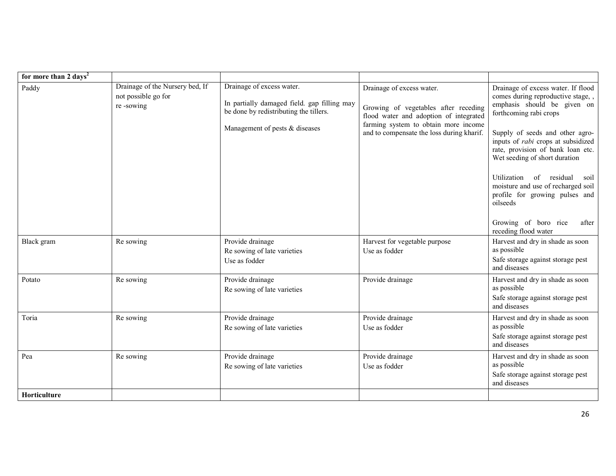| for more than 2 days <sup>2</sup> |                                                                     |                                                                                                                                                      |                                                                                                                                                                                                  |                                                                                                                                                                                                                                                                                                                                                                                                                                                                           |
|-----------------------------------|---------------------------------------------------------------------|------------------------------------------------------------------------------------------------------------------------------------------------------|--------------------------------------------------------------------------------------------------------------------------------------------------------------------------------------------------|---------------------------------------------------------------------------------------------------------------------------------------------------------------------------------------------------------------------------------------------------------------------------------------------------------------------------------------------------------------------------------------------------------------------------------------------------------------------------|
| Paddy                             | Drainage of the Nursery bed, If<br>not possible go for<br>re-sowing | Drainage of excess water.<br>In partially damaged field. gap filling may<br>be done by redistributing the tillers.<br>Management of pests & diseases | Drainage of excess water.<br>Growing of vegetables after receding<br>flood water and adoption of integrated<br>farming system to obtain more income<br>and to compensate the loss during kharif. | Drainage of excess water. If flood<br>comes during reproductive stage,,<br>emphasis should be given on<br>forthcoming rabi crops<br>Supply of seeds and other agro-<br>inputs of <i>rabi</i> crops at subsidized<br>rate, provision of bank loan etc.<br>Wet seeding of short duration<br>of residual<br>Utilization<br>soil<br>moisture and use of recharged soil<br>profile for growing pulses and<br>oilseeds<br>Growing of boro rice<br>after<br>receding flood water |
| Black gram                        | Re sowing                                                           | Provide drainage<br>Re sowing of late varieties<br>Use as fodder                                                                                     | Harvest for vegetable purpose<br>Use as fodder                                                                                                                                                   | Harvest and dry in shade as soon<br>as possible<br>Safe storage against storage pest<br>and diseases                                                                                                                                                                                                                                                                                                                                                                      |
| Potato                            | Re sowing                                                           | Provide drainage<br>Re sowing of late varieties                                                                                                      | Provide drainage                                                                                                                                                                                 | Harvest and dry in shade as soon<br>as possible<br>Safe storage against storage pest<br>and diseases                                                                                                                                                                                                                                                                                                                                                                      |
| Toria                             | Re sowing                                                           | Provide drainage<br>Re sowing of late varieties                                                                                                      | Provide drainage<br>Use as fodder                                                                                                                                                                | Harvest and dry in shade as soon<br>as possible<br>Safe storage against storage pest<br>and diseases                                                                                                                                                                                                                                                                                                                                                                      |
| Pea                               | Re sowing                                                           | Provide drainage<br>Re sowing of late varieties                                                                                                      | Provide drainage<br>Use as fodder                                                                                                                                                                | Harvest and dry in shade as soon<br>as possible<br>Safe storage against storage pest<br>and diseases                                                                                                                                                                                                                                                                                                                                                                      |
| Horticulture                      |                                                                     |                                                                                                                                                      |                                                                                                                                                                                                  |                                                                                                                                                                                                                                                                                                                                                                                                                                                                           |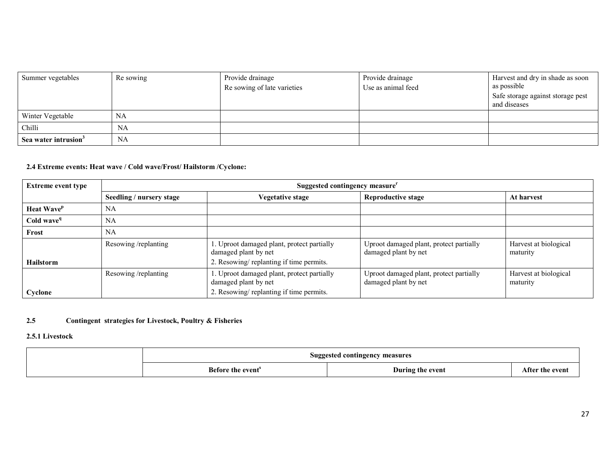| Summer vegetables                | Re sowing | Provide drainage<br>Re sowing of late varieties | Provide drainage<br>Use as animal feed | Harvest and dry in shade as soon<br>as possible<br>Safe storage against storage pest<br>and diseases |
|----------------------------------|-----------|-------------------------------------------------|----------------------------------------|------------------------------------------------------------------------------------------------------|
| Winter Vegetable                 | NA        |                                                 |                                        |                                                                                                      |
| Chilli                           | <b>NA</b> |                                                 |                                        |                                                                                                      |
| Sea water intrusion <sup>3</sup> | NA        |                                                 |                                        |                                                                                                      |

#### 2.4 Extreme events: Heat wave / Cold wave/Frost/ Hailstorm /Cyclone:

| <b>Extreme event type</b>     | Suggested contingency measure <sup>r</sup> |                                                                                                               |                                                                 |                                   |  |
|-------------------------------|--------------------------------------------|---------------------------------------------------------------------------------------------------------------|-----------------------------------------------------------------|-----------------------------------|--|
|                               | Seedling / nursery stage                   | Vegetative stage                                                                                              | <b>Reproductive stage</b>                                       | At harvest                        |  |
| <b>Heat Wave</b> <sup>p</sup> | <b>NA</b>                                  |                                                                                                               |                                                                 |                                   |  |
| Cold wave <sup>q</sup>        | <b>NA</b>                                  |                                                                                                               |                                                                 |                                   |  |
| Frost                         | NA                                         |                                                                                                               |                                                                 |                                   |  |
| <b>Hailstorm</b>              | Resowing/replanting                        | 1. Uproot damaged plant, protect partially<br>damaged plant by net<br>2. Resowing/replanting if time permits. | Uproot damaged plant, protect partially<br>damaged plant by net | Harvest at biological<br>maturity |  |
| Cyclone                       | Resowing/replanting                        | 1. Uproot damaged plant, protect partially<br>damaged plant by net<br>2. Resowing/replanting if time permits. | Uproot damaged plant, protect partially<br>damaged plant by net | Harvest at biological<br>maturity |  |

#### 2.5Contingent strategies for Livestock, Poultry & Fisheries

#### 2.5.1 Livestock

| Suggested contingency measures |                                   |                    |  |
|--------------------------------|-----------------------------------|--------------------|--|
| Before the event <sup>8</sup>  | During the event<br>$\sim$ $\sim$ | After<br>the event |  |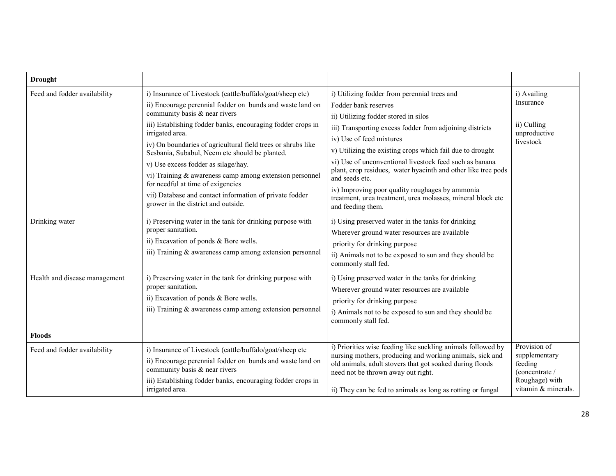| <b>Drought</b>                |                                                                                                                                                                                                                                                                                                                                                                                                                                                                                                                                                                                                        |                                                                                                                                                                                                                                                                                                                                                                                                                                                                                                                                                        |                                                                                                     |
|-------------------------------|--------------------------------------------------------------------------------------------------------------------------------------------------------------------------------------------------------------------------------------------------------------------------------------------------------------------------------------------------------------------------------------------------------------------------------------------------------------------------------------------------------------------------------------------------------------------------------------------------------|--------------------------------------------------------------------------------------------------------------------------------------------------------------------------------------------------------------------------------------------------------------------------------------------------------------------------------------------------------------------------------------------------------------------------------------------------------------------------------------------------------------------------------------------------------|-----------------------------------------------------------------------------------------------------|
| Feed and fodder availability  | i) Insurance of Livestock (cattle/buffalo/goat/sheep etc)<br>ii) Encourage perennial fodder on bunds and waste land on<br>community basis & near rivers<br>iii) Establishing fodder banks, encouraging fodder crops in<br>irrigated area.<br>iv) On boundaries of agricultural field trees or shrubs like<br>Sesbania, Subabul, Neem etc should be planted.<br>v) Use excess fodder as silage/hay.<br>vi) Training $&$ awareness camp among extension personnel<br>for needful at time of exigencies<br>vii) Database and contact information of private fodder<br>grower in the district and outside. | i) Utilizing fodder from perennial trees and<br>Fodder bank reserves<br>ii) Utilizing fodder stored in silos<br>iii) Transporting excess fodder from adjoining districts<br>iv) Use of feed mixtures<br>v) Utilizing the existing crops which fail due to drought<br>vi) Use of unconventional livestock feed such as banana<br>plant, crop residues, water hyacinth and other like tree pods<br>and seeds etc.<br>iv) Improving poor quality roughages by ammonia<br>treatment, urea treatment, urea molasses, mineral block etc<br>and feeding them. | i) Availing<br>Insurance<br>ii) Culling<br>unproductive<br>livestock                                |
| Drinking water                | i) Preserving water in the tank for drinking purpose with<br>proper sanitation.<br>ii) Excavation of ponds & Bore wells.<br>iii) Training & awareness camp among extension personnel                                                                                                                                                                                                                                                                                                                                                                                                                   | i) Using preserved water in the tanks for drinking<br>Wherever ground water resources are available<br>priority for drinking purpose<br>ii) Animals not to be exposed to sun and they should be<br>commonly stall fed.                                                                                                                                                                                                                                                                                                                                 |                                                                                                     |
| Health and disease management | i) Preserving water in the tank for drinking purpose with<br>proper sanitation.<br>ii) Excavation of ponds & Bore wells.<br>iii) Training & awareness camp among extension personnel                                                                                                                                                                                                                                                                                                                                                                                                                   | i) Using preserved water in the tanks for drinking<br>Wherever ground water resources are available<br>priority for drinking purpose<br>i) Animals not to be exposed to sun and they should be<br>commonly stall fed.                                                                                                                                                                                                                                                                                                                                  |                                                                                                     |
| <b>Floods</b>                 |                                                                                                                                                                                                                                                                                                                                                                                                                                                                                                                                                                                                        |                                                                                                                                                                                                                                                                                                                                                                                                                                                                                                                                                        |                                                                                                     |
| Feed and fodder availability  | i) Insurance of Livestock (cattle/buffalo/goat/sheep etc<br>ii) Encourage perennial fodder on bunds and waste land on<br>community basis & near rivers<br>iii) Establishing fodder banks, encouraging fodder crops in<br>irrigated area.                                                                                                                                                                                                                                                                                                                                                               | i) Priorities wise feeding like suckling animals followed by<br>nursing mothers, producing and working animals, sick and<br>old animals, adult stovers that got soaked during floods<br>need not be thrown away out right.<br>ii) They can be fed to animals as long as rotting or fungal                                                                                                                                                                                                                                                              | Provision of<br>supplementary<br>feeding<br>(concentrate /<br>Roughage) with<br>vitamin & minerals. |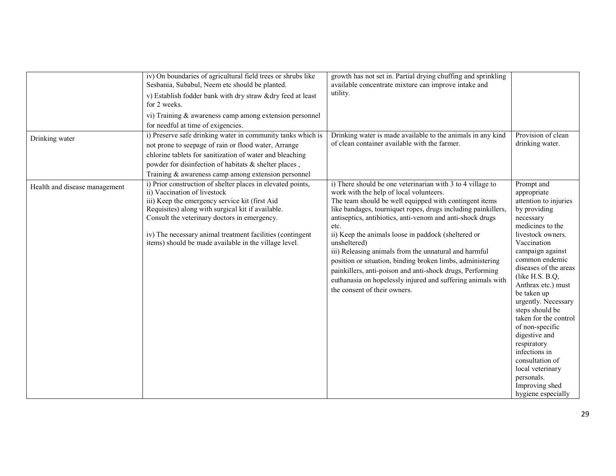|                               | iv) On boundaries of agricultural field trees or shrubs like<br>Sesbania, Subabul, Neem etc should be planted.<br>v) Establish fodder bank with dry straw & dry feed at least<br>for 2 weeks.<br>vi) Training & awareness camp among extension personnel<br>for needful at time of exigencies.                                                                           | growth has not set in. Partial drying chuffing and sprinkling<br>available concentrate mixture can improve intake and<br>utility.                                                                                                                                                                                                                                                                                                                                                                                                                                                                                                                               |                                                                                                                                                                                                                                                                                                                                                                                                                                                                                                    |
|-------------------------------|--------------------------------------------------------------------------------------------------------------------------------------------------------------------------------------------------------------------------------------------------------------------------------------------------------------------------------------------------------------------------|-----------------------------------------------------------------------------------------------------------------------------------------------------------------------------------------------------------------------------------------------------------------------------------------------------------------------------------------------------------------------------------------------------------------------------------------------------------------------------------------------------------------------------------------------------------------------------------------------------------------------------------------------------------------|----------------------------------------------------------------------------------------------------------------------------------------------------------------------------------------------------------------------------------------------------------------------------------------------------------------------------------------------------------------------------------------------------------------------------------------------------------------------------------------------------|
| Drinking water                | i) Preserve safe drinking water in community tanks which is<br>not prone to seepage of rain or flood water, Arrange<br>chlorine tablets for sanitization of water and bleaching<br>powder for disinfection of habitats & shelter places,<br>Training & awareness camp among extension personnel                                                                          | Drinking water is made available to the animals in any kind<br>of clean container available with the farmer.                                                                                                                                                                                                                                                                                                                                                                                                                                                                                                                                                    | Provision of clean<br>drinking water.                                                                                                                                                                                                                                                                                                                                                                                                                                                              |
| Health and disease management | i) Prior construction of shelter places in elevated points,<br>ii) Vaccination of livestock<br>iii) Keep the emergency service kit (first Aid<br>Requisites) along with surgical kit if available.<br>Consult the veterinary doctors in emergency.<br>iv) The necessary animal treatment facilities (contingent<br>items) should be made available in the village level. | i) There should be one veterinarian with 3 to 4 village to<br>work with the help of local volunteers.<br>The team should be well equipped with contingent items<br>like bandages, tourniquet ropes, drugs including painkillers,<br>antiseptics, antibiotics, anti-venom and anti-shock drugs<br>etc.<br>ii) Keep the animals loose in paddock (sheltered or<br>unsheltered)<br>iii) Releasing animals from the unnatural and harmful<br>position or situation, binding broken limbs, administering<br>painkillers, anti-poison and anti-shock drugs, Performing<br>euthanasia on hopelessly injured and suffering animals with<br>the consent of their owners. | Prompt and<br>appropriate<br>attention to injuries<br>by providing<br>necessary<br>medicines to the<br>livestock owners.<br>Vaccination<br>campaign against<br>common endemic<br>diseases of the areas<br>(like H.S. B.Q,<br>Anthrax etc.) must<br>be taken up<br>urgently. Necessary<br>steps should be<br>taken for the control<br>of non-specific<br>digestive and<br>respiratory<br>infections in<br>consultation of<br>local veterinary<br>personals.<br>Improving shed<br>hygiene especially |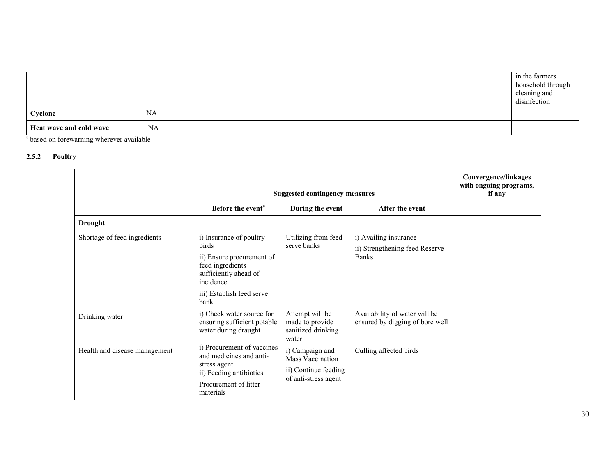|                         |           | in the farmers<br>household through<br>cleaning and<br>disinfection |
|-------------------------|-----------|---------------------------------------------------------------------|
| Cyclone                 | NA        |                                                                     |
| Heat wave and cold wave | <b>NA</b> |                                                                     |

s based on forewarning wherever available

#### 2.5.2 Poultry

|                               | <b>Suggested contingency measures</b>                                                                                                                               |                                                                                     |                                                                         | <b>Convergence/linkages</b><br>with ongoing programs,<br>if any |
|-------------------------------|---------------------------------------------------------------------------------------------------------------------------------------------------------------------|-------------------------------------------------------------------------------------|-------------------------------------------------------------------------|-----------------------------------------------------------------|
|                               | Before the event <sup>a</sup>                                                                                                                                       | During the event                                                                    | After the event                                                         |                                                                 |
| <b>Drought</b>                |                                                                                                                                                                     |                                                                                     |                                                                         |                                                                 |
| Shortage of feed ingredients  | i) Insurance of poultry<br><b>birds</b><br>ii) Ensure procurement of<br>feed ingredients<br>sufficiently ahead of<br>incidence<br>iii) Establish feed serve<br>bank | Utilizing from feed<br>serve banks                                                  | i) Availing insurance<br>ii) Strengthening feed Reserve<br><b>Banks</b> |                                                                 |
| Drinking water                | i) Check water source for<br>ensuring sufficient potable<br>water during draught                                                                                    | Attempt will be<br>made to provide<br>sanitized drinking<br>water                   | Availability of water will be<br>ensured by digging of bore well        |                                                                 |
| Health and disease management | i) Procurement of vaccines<br>and medicines and anti-<br>stress agent.<br>ii) Feeding antibiotics<br>Procurement of litter<br>materials                             | i) Campaign and<br>Mass Vaccination<br>ii) Continue feeding<br>of anti-stress agent | Culling affected birds                                                  |                                                                 |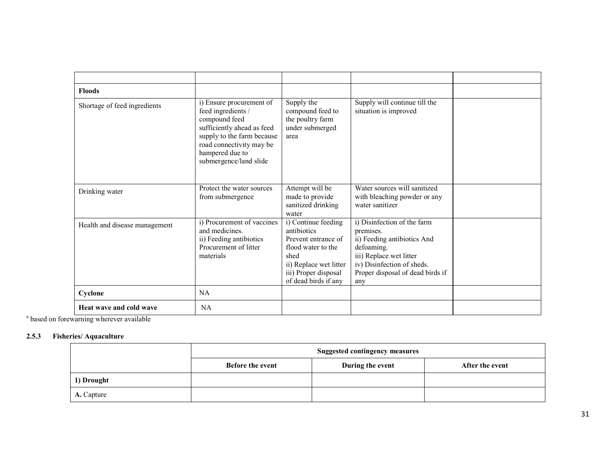| <b>Floods</b>                 |                                                                                                                                                                                                      |                                                                                                                                                                   |                                                                                                                                                                                           |  |
|-------------------------------|------------------------------------------------------------------------------------------------------------------------------------------------------------------------------------------------------|-------------------------------------------------------------------------------------------------------------------------------------------------------------------|-------------------------------------------------------------------------------------------------------------------------------------------------------------------------------------------|--|
| Shortage of feed ingredients  | i) Ensure procurement of<br>feed ingredients /<br>compound feed<br>sufficiently ahead as feed<br>supply to the farm because<br>road connectivity may be<br>hampered due to<br>submergence/land slide | Supply the<br>compound feed to<br>the poultry farm<br>under submerged<br>area                                                                                     | Supply will continue till the<br>situation is improved                                                                                                                                    |  |
| Drinking water                | Protect the water sources<br>from submergence                                                                                                                                                        | Attempt will be<br>made to provide<br>sanitized drinking<br>water                                                                                                 | Water sources will sanitized<br>with bleaching powder or any<br>water sanitizer                                                                                                           |  |
| Health and disease management | i) Procurement of vaccines<br>and medicines.<br>ii) Feeding antibiotics<br>Procurement of litter<br>materials                                                                                        | i) Continue feeding<br>antibiotics<br>Prevent entrance of<br>flood water to the<br>shed<br>ii) Replace wet litter<br>iii) Proper disposal<br>of dead birds if any | i) Disinfection of the farm<br>premises.<br>ii) Feeding antibiotics And<br>defoaming.<br>iii) Replace wet litter<br>iv) Disinfection of sheds.<br>Proper disposal of dead birds if<br>any |  |
| Cyclone                       | <b>NA</b>                                                                                                                                                                                            |                                                                                                                                                                   |                                                                                                                                                                                           |  |
| Heat wave and cold wave       | NA                                                                                                                                                                                                   |                                                                                                                                                                   |                                                                                                                                                                                           |  |

<sup>a</sup> based on forewarning wherever available

#### 2.5.3 Fisheries/ Aquaculture

|            | <b>Suggested contingency measures</b> |                  |                 |  |  |
|------------|---------------------------------------|------------------|-----------------|--|--|
|            | <b>Before the event</b>               | During the event | After the event |  |  |
| 1) Drought |                                       |                  |                 |  |  |
| A. Capture |                                       |                  |                 |  |  |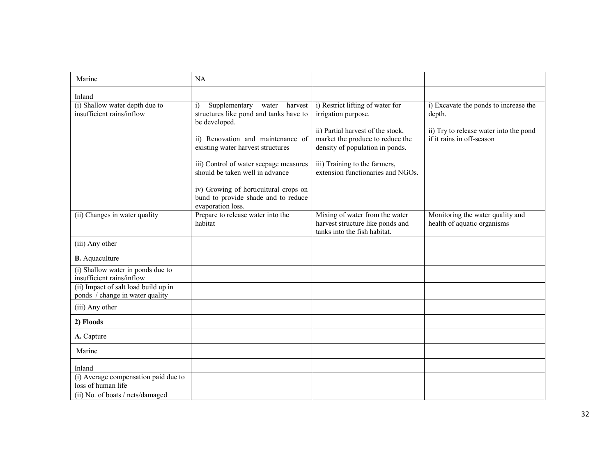| Marine                                                                  | NA                                                                                                                                                                                                                                                             |                                                                                                                                                                                                                                           |                                                                                                                        |
|-------------------------------------------------------------------------|----------------------------------------------------------------------------------------------------------------------------------------------------------------------------------------------------------------------------------------------------------------|-------------------------------------------------------------------------------------------------------------------------------------------------------------------------------------------------------------------------------------------|------------------------------------------------------------------------------------------------------------------------|
| Inland                                                                  |                                                                                                                                                                                                                                                                |                                                                                                                                                                                                                                           |                                                                                                                        |
| (i) Shallow water depth due to<br>insufficient rains/inflow             | Supplementary water<br>$\ddot{1}$<br>harvest<br>structures like pond and tanks have to<br>be developed.<br>ii) Renovation and maintenance of<br>existing water harvest structures<br>iii) Control of water seepage measures<br>should be taken well in advance | i) Restrict lifting of water for<br>irrigation purpose.<br>ii) Partial harvest of the stock,<br>market the produce to reduce the<br>density of population in ponds.<br>iii) Training to the farmers,<br>extension functionaries and NGOs. | i) Excavate the ponds to increase the<br>depth.<br>ii) Try to release water into the pond<br>if it rains in off-season |
|                                                                         | iv) Growing of horticultural crops on<br>bund to provide shade and to reduce<br>evaporation loss.                                                                                                                                                              |                                                                                                                                                                                                                                           |                                                                                                                        |
| (ii) Changes in water quality                                           | Prepare to release water into the<br>habitat                                                                                                                                                                                                                   | Mixing of water from the water<br>harvest structure like ponds and<br>tanks into the fish habitat.                                                                                                                                        | Monitoring the water quality and<br>health of aquatic organisms                                                        |
| (iii) Any other                                                         |                                                                                                                                                                                                                                                                |                                                                                                                                                                                                                                           |                                                                                                                        |
| <b>B.</b> Aquaculture                                                   |                                                                                                                                                                                                                                                                |                                                                                                                                                                                                                                           |                                                                                                                        |
| (i) Shallow water in ponds due to<br>insufficient rains/inflow          |                                                                                                                                                                                                                                                                |                                                                                                                                                                                                                                           |                                                                                                                        |
| (ii) Impact of salt load build up in<br>ponds / change in water quality |                                                                                                                                                                                                                                                                |                                                                                                                                                                                                                                           |                                                                                                                        |
| (iii) Any other                                                         |                                                                                                                                                                                                                                                                |                                                                                                                                                                                                                                           |                                                                                                                        |
| 2) Floods                                                               |                                                                                                                                                                                                                                                                |                                                                                                                                                                                                                                           |                                                                                                                        |
| A. Capture                                                              |                                                                                                                                                                                                                                                                |                                                                                                                                                                                                                                           |                                                                                                                        |
| Marine                                                                  |                                                                                                                                                                                                                                                                |                                                                                                                                                                                                                                           |                                                                                                                        |
| Inland                                                                  |                                                                                                                                                                                                                                                                |                                                                                                                                                                                                                                           |                                                                                                                        |
| (i) Average compensation paid due to<br>loss of human life              |                                                                                                                                                                                                                                                                |                                                                                                                                                                                                                                           |                                                                                                                        |
| (ii) No. of boats / nets/damaged                                        |                                                                                                                                                                                                                                                                |                                                                                                                                                                                                                                           |                                                                                                                        |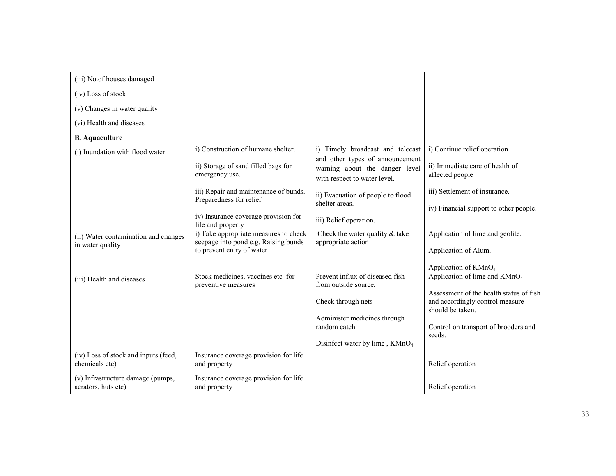| (iii) No.of houses damaged                                                                  |                                                                                                                                                                                                                                                                                                                                            |                                                                                                                                                                                                                                                                                |                                                                                                                                                                                                                           |
|---------------------------------------------------------------------------------------------|--------------------------------------------------------------------------------------------------------------------------------------------------------------------------------------------------------------------------------------------------------------------------------------------------------------------------------------------|--------------------------------------------------------------------------------------------------------------------------------------------------------------------------------------------------------------------------------------------------------------------------------|---------------------------------------------------------------------------------------------------------------------------------------------------------------------------------------------------------------------------|
| (iv) Loss of stock                                                                          |                                                                                                                                                                                                                                                                                                                                            |                                                                                                                                                                                                                                                                                |                                                                                                                                                                                                                           |
| (v) Changes in water quality                                                                |                                                                                                                                                                                                                                                                                                                                            |                                                                                                                                                                                                                                                                                |                                                                                                                                                                                                                           |
| (vi) Health and diseases                                                                    |                                                                                                                                                                                                                                                                                                                                            |                                                                                                                                                                                                                                                                                |                                                                                                                                                                                                                           |
| <b>B.</b> Aquaculture                                                                       |                                                                                                                                                                                                                                                                                                                                            |                                                                                                                                                                                                                                                                                |                                                                                                                                                                                                                           |
| (i) Inundation with flood water<br>(ii) Water contamination and changes<br>in water quality | i) Construction of humane shelter.<br>ii) Storage of sand filled bags for<br>emergency use.<br>iii) Repair and maintenance of bunds.<br>Preparedness for relief<br>iv) Insurance coverage provision for<br>life and property<br>i) Take appropriate measures to check<br>seepage into pond e.g. Raising bunds<br>to prevent entry of water | i) Timely broadcast and telecast<br>and other types of announcement<br>warning about the danger level<br>with respect to water level.<br>ii) Evacuation of people to flood<br>shelter areas.<br>iii) Relief operation.<br>Check the water quality & take<br>appropriate action | i) Continue relief operation<br>ii) Immediate care of health of<br>affected people<br>iii) Settlement of insurance.<br>iv) Financial support to other people.<br>Application of lime and geolite.<br>Application of Alum. |
|                                                                                             |                                                                                                                                                                                                                                                                                                                                            |                                                                                                                                                                                                                                                                                | Application of KMnO <sub>4</sub>                                                                                                                                                                                          |
| (iii) Health and diseases                                                                   | Stock medicines, vaccines etc for<br>preventive measures                                                                                                                                                                                                                                                                                   | Prevent influx of diseased fish<br>from outside source,<br>Check through nets<br>Administer medicines through<br>random catch<br>Disinfect water by lime, $KMnO4$                                                                                                              | Application of lime and KMnO <sub>4</sub> .<br>Assessment of the health status of fish<br>and accordingly control measure<br>should be taken.<br>Control on transport of brooders and<br>seeds.                           |
| (iv) Loss of stock and inputs (feed,<br>chemicals etc)                                      | Insurance coverage provision for life<br>and property                                                                                                                                                                                                                                                                                      |                                                                                                                                                                                                                                                                                | Relief operation                                                                                                                                                                                                          |
| (v) Infrastructure damage (pumps,<br>aerators, huts etc)                                    | Insurance coverage provision for life<br>and property                                                                                                                                                                                                                                                                                      |                                                                                                                                                                                                                                                                                | Relief operation                                                                                                                                                                                                          |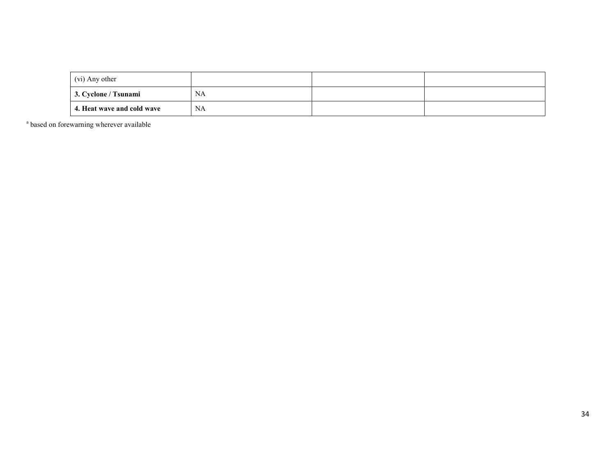| (vi) Any other             |    |  |
|----------------------------|----|--|
| 3. Cyclone / Tsunami       | NA |  |
| 4. Heat wave and cold wave | NA |  |

<sup>a</sup> based on forewarning wherever available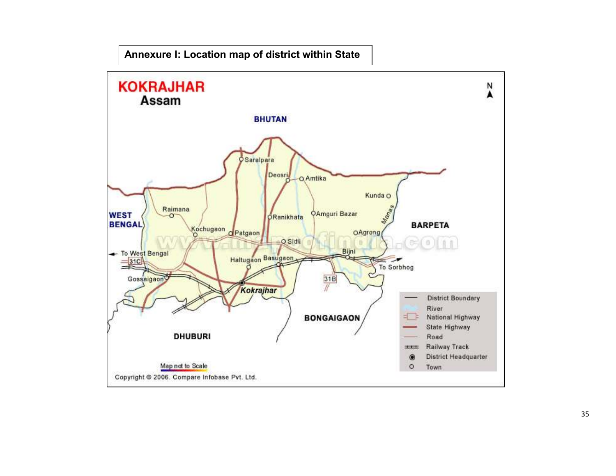## Annexure I: Location map of district within State